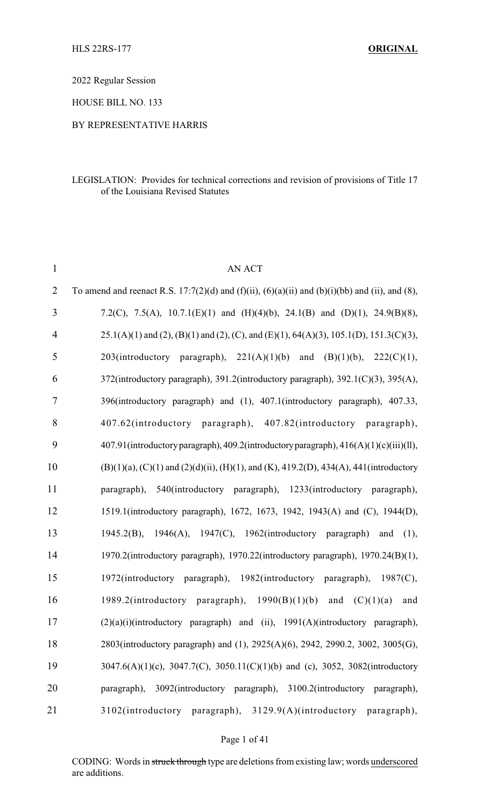2022 Regular Session

HOUSE BILL NO. 133

#### BY REPRESENTATIVE HARRIS

#### LEGISLATION: Provides for technical corrections and revision of provisions of Title 17 of the Louisiana Revised Statutes

| $\mathbf{1}$   | AN ACT                                                                                                         |
|----------------|----------------------------------------------------------------------------------------------------------------|
| $\overline{2}$ | To amend and reenact R.S. 17:7(2)(d) and (f)(ii), (6)(a)(ii) and (b)(i)(bb) and (ii), and (8),                 |
| 3              | 7.2(C), 7.5(A), 10.7.1(E)(1) and (H)(4)(b), 24.1(B) and (D)(1), 24.9(B)(8),                                    |
| $\overline{4}$ | $25.1(A)(1)$ and $(2)$ , $(B)(1)$ and $(2)$ , $(C)$ , and $(E)(1)$ , $64(A)(3)$ , $105.1(D)$ , $151.3(C)(3)$ , |
| 5              | 203(introductory paragraph), $221(A)(1)(b)$ and $(B)(1)(b)$ , $222(C)(1)$ ,                                    |
| 6              | 372(introductory paragraph), 391.2(introductory paragraph), 392.1(C)(3), 395(A),                               |
| $\tau$         | 396(introductory paragraph) and (1), 407.1(introductory paragraph), 407.33,                                    |
| $8\,$          | 407.62(introductory paragraph), 407.82(introductory paragraph),                                                |
| 9              | 407.91(introductory paragraph), 409.2(introductory paragraph), 416(A)(1)(c)(iii)(ll),                          |
| 10             | $(B)(1)(a)$ , $(C)(1)$ and $(2)(d)(ii)$ , $(H)(1)$ , and $(K)$ , 419.2(D), 434(A), 441(introductory            |
| 11             | paragraph), 540(introductory paragraph), 1233(introductory paragraph),                                         |
| 12             | 1519.1(introductory paragraph), 1672, 1673, 1942, 1943(A) and (C), 1944(D),                                    |
| 13             | 1945.2(B), 1946(A), 1947(C), 1962(introductory paragraph) and (1),                                             |
| 14             | 1970.2(introductory paragraph), 1970.22(introductory paragraph), 1970.24(B)(1),                                |
| 15             | 1972(introductory paragraph), 1982(introductory paragraph), 1987(C),                                           |
| 16             | 1989.2(introductory paragraph), $1990(B)(1)(b)$ and $(C)(1)(a)$<br>and                                         |
| 17             | (2)(a)(i)(introductory paragraph) and (ii), 1991(A)(introductory paragraph),                                   |
| 18             | 2803(introductory paragraph) and (1), 2925(A)(6), 2942, 2990.2, 3002, 3005(G),                                 |
| 19             | 3047.6(A)(1)(c), 3047.7(C), 3050.11(C)(1)(b) and (c), 3052, 3082(introductory                                  |
| 20             | paragraph), 3092(introductory paragraph), 3100.2(introductory paragraph),                                      |
| 21             | 3102(introductory paragraph), 3129.9(A)(introductory paragraph),                                               |

Page 1 of 41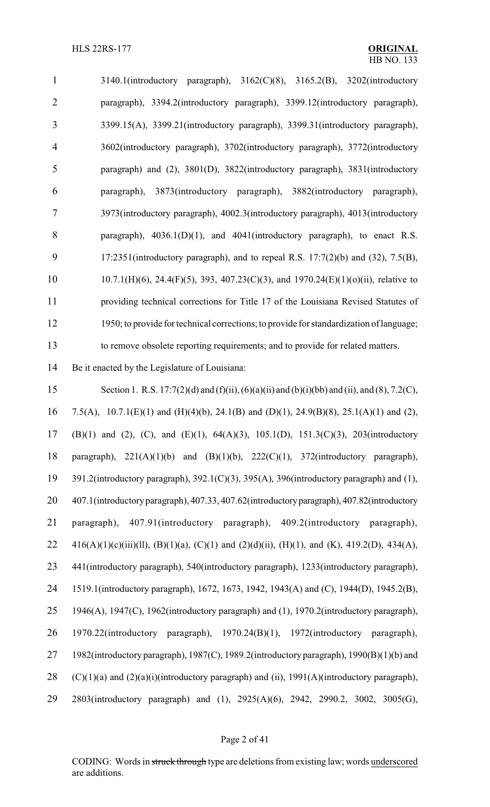| $\mathbf{1}$   | $3140.1$ (introductory paragraph), $3162(C)(8)$ , $3165.2(B)$ , $3202$ (introductory     |
|----------------|------------------------------------------------------------------------------------------|
| $\overline{2}$ | paragraph), 3394.2(introductory paragraph), 3399.12(introductory paragraph),             |
| 3              | 3399.15(A), 3399.21(introductory paragraph), 3399.31(introductory paragraph),            |
| 4              | 3602(introductory paragraph), 3702(introductory paragraph), 3772(introductory            |
| 5              | paragraph) and (2), 3801(D), 3822(introductory paragraph), 3831(introductory             |
| 6              | 3873(introductory paragraph), 3882(introductory paragraph),<br>paragraph),               |
| 7              | 3973(introductory paragraph), 4002.3(introductory paragraph), 4013(introductory          |
| 8              | paragraph), $4036.1(D)(1)$ , and $4041$ (introductory paragraph), to enact R.S.          |
| 9              | 17:2351(introductory paragraph), and to repeal R.S. $17:7(2)(b)$ and $(32)$ , $7.5(B)$ , |
| 10             | $10.7.1(H)(6)$ , 24.4(F)(5), 393, 407.23(C)(3), and 1970.24(E)(1)(o)(ii), relative to    |
| 11             | providing technical corrections for Title 17 of the Louisiana Revised Statutes of        |
| 12             | 1950; to provide for technical corrections; to provide for standardization of language;  |
| 13             | to remove obsolete reporting requirements; and to provide for related matters.           |

Be it enacted by the Legislature of Louisiana:

 Section 1. R.S. 17:7(2)(d) and (f)(ii), (6)(a)(ii) and (b)(i)(bb) and (ii), and (8), 7.2(C), 7.5(A), 10.7.1(E)(1) and (H)(4)(b), 24.1(B) and (D)(1), 24.9(B)(8), 25.1(A)(1) and (2), (B)(1) and (2), (C), and (E)(1), 64(A)(3), 105.1(D), 151.3(C)(3), 203(introductory paragraph), 221(A)(1)(b) and (B)(1)(b), 222(C)(1), 372(introductory paragraph), 391.2(introductory paragraph), 392.1(C)(3), 395(A), 396(introductory paragraph) and (1), 407.1(introductoryparagraph), 407.33, 407.62(introductoryparagraph), 407.82(introductory paragraph), 407.91(introductory paragraph), 409.2(introductory paragraph), 22 416(A)(1)(c)(iii)(ll), (B)(1)(a), (C)(1) and (2)(d)(ii), (H)(1), and (K), 419.2(D), 434(A), 441(introductory paragraph), 540(introductory paragraph), 1233(introductory paragraph), 1519.1(introductory paragraph), 1672, 1673, 1942, 1943(A) and (C), 1944(D), 1945.2(B), 1946(A), 1947(C), 1962(introductory paragraph) and (1), 1970.2(introductory paragraph), 1970.22(introductory paragraph), 1970.24(B)(1), 1972(introductory paragraph), 1982(introductory paragraph), 1987(C), 1989.2(introductory paragraph), 1990(B)(1)(b) and 28 (C)(1)(a) and (2)(a)(i)(introductory paragraph) and (ii),  $1991(A)$ (introductory paragraph), 2803(introductory paragraph) and (1), 2925(A)(6), 2942, 2990.2, 3002, 3005(G),

#### Page 2 of 41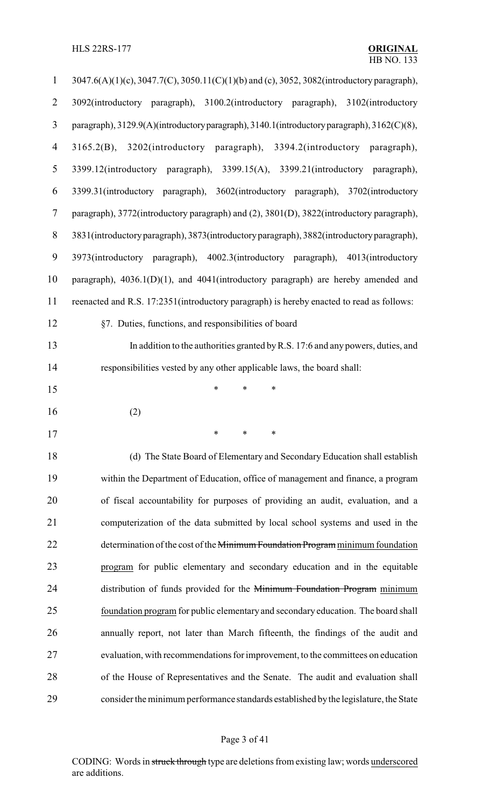HLS 22RS-177 **ORIGINAL**

| $\mathbf{1}$     | 3047.6(A)(1)(c), 3047.7(C), 3050.11(C)(1)(b) and (c), 3052, 3082(introductory paragraph),  |
|------------------|--------------------------------------------------------------------------------------------|
| $\overline{2}$   | 3092(introductory paragraph), 3100.2(introductory paragraph), 3102(introductory            |
| 3                | paragraph), 3129.9(A)(introductory paragraph), 3140.1(introductory paragraph), 3162(C)(8), |
| $\overline{4}$   | 3165.2(B), 3202(introductory paragraph), 3394.2(introductory paragraph),                   |
| 5                | 3399.12(introductory paragraph), 3399.15(A), 3399.21(introductory paragraph),              |
| 6                | 3399.31(introductory paragraph), 3602(introductory paragraph), 3702(introductory           |
| $\tau$           | paragraph), 3772(introductory paragraph) and (2), 3801(D), 3822(introductory paragraph),   |
| $8\,$            | 3831(introductory paragraph), 3873(introductory paragraph), 3882(introductory paragraph),  |
| $\boldsymbol{9}$ | 3973(introductory paragraph), 4002.3(introductory paragraph), 4013(introductory            |
| 10               | paragraph), $4036.1(D)(1)$ , and $4041$ (introductory paragraph) are hereby amended and    |
| 11               | reenacted and R.S. 17:2351(introductory paragraph) is hereby enacted to read as follows:   |
| 12               | §7. Duties, functions, and responsibilities of board                                       |
| 13               | In addition to the authorities granted by R.S. 17:6 and any powers, duties, and            |
| 14               | responsibilities vested by any other applicable laws, the board shall:                     |
| 15               | $\ast$<br>*<br>$\ast$                                                                      |
| 16               | (2)                                                                                        |
| 17               |                                                                                            |
| 18               | (d) The State Board of Elementary and Secondary Education shall establish                  |
| 19               | within the Department of Education, office of management and finance, a program            |
| 20               | of fiscal accountability for purposes of providing an audit, evaluation, and a             |
| 21               | computerization of the data submitted by local school systems and used in the              |
| 22               | determination of the cost of the Minimum Foundation Program minimum foundation             |
| 23               | program for public elementary and secondary education and in the equitable                 |
| 24               | distribution of funds provided for the Minimum Foundation Program minimum                  |
| 25               | foundation program for public elementary and secondary education. The board shall          |
| 26               | annually report, not later than March fifteenth, the findings of the audit and             |
| 27               | evaluation, with recommendations for improvement, to the committees on education           |
| 28               | of the House of Representatives and the Senate. The audit and evaluation shall             |
| 29               | consider the minimum performance standards established by the legislature, the State       |

# Page 3 of 41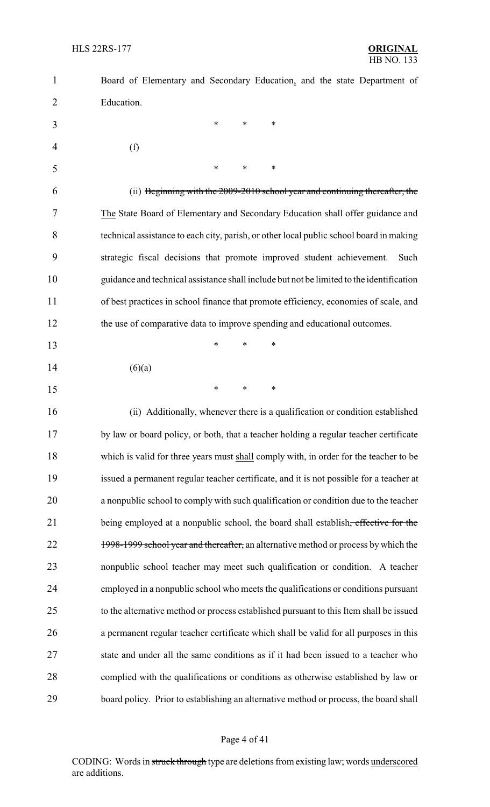| $\mathbf{1}$   | Board of Elementary and Secondary Education, and the state Department of                 |
|----------------|------------------------------------------------------------------------------------------|
| $\overline{2}$ | Education.                                                                               |
| 3              | $\ast$<br>*<br>∗                                                                         |
| 4              | (f)                                                                                      |
| 5              | *<br>$\ast$<br>*                                                                         |
| 6              | (ii) Beginning with the 2009-2010 school year and continuing thereafter, the             |
| 7              | The State Board of Elementary and Secondary Education shall offer guidance and           |
| 8              | technical assistance to each city, parish, or other local public school board in making  |
| 9              | strategic fiscal decisions that promote improved student achievement.<br>Such            |
| 10             | guidance and technical assistance shall include but not be limited to the identification |
| 11             | of best practices in school finance that promote efficiency, economies of scale, and     |
| 12             | the use of comparative data to improve spending and educational outcomes.                |
| 13             | $\ast$<br>*<br>*                                                                         |
| 14             | (6)(a)                                                                                   |
| 15             | *<br>*<br>∗                                                                              |
| 16             | (ii) Additionally, whenever there is a qualification or condition established            |
| 17             | by law or board policy, or both, that a teacher holding a regular teacher certificate    |
| 18             | which is valid for three years must shall comply with, in order for the teacher to be    |
| 19             | issued a permanent regular teacher certificate, and it is not possible for a teacher at  |
| 20             | a nonpublic school to comply with such qualification or condition due to the teacher     |
| 21             | being employed at a nonpublic school, the board shall establish, effective for the       |
| 22             | 1998-1999 school year and thereafter, an alternative method or process by which the      |
| 23             | nonpublic school teacher may meet such qualification or condition. A teacher             |
| 24             | employed in a nonpublic school who meets the qualifications or conditions pursuant       |
| 25             | to the alternative method or process established pursuant to this Item shall be issued   |
| 26             | a permanent regular teacher certificate which shall be valid for all purposes in this    |
| 27             | state and under all the same conditions as if it had been issued to a teacher who        |
| 28             | complied with the qualifications or conditions as otherwise established by law or        |
| 29             | board policy. Prior to establishing an alternative method or process, the board shall    |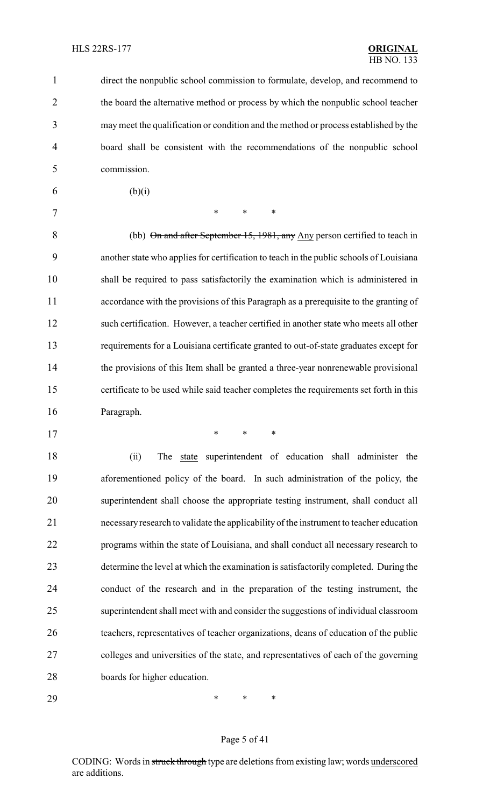direct the nonpublic school commission to formulate, develop, and recommend to the board the alternative method or process by which the nonpublic school teacher may meet the qualification or condition and the method or process established by the board shall be consistent with the recommendations of the nonpublic school commission.

6 (b)(i)

7 \* \* \* \*

8 (bb) On and after September 15, 1981, any Any person certified to teach in another state who applies for certification to teach in the public schools of Louisiana shall be required to pass satisfactorily the examination which is administered in accordance with the provisions of this Paragraph as a prerequisite to the granting of such certification. However, a teacher certified in another state who meets all other requirements for a Louisiana certificate granted to out-of-state graduates except for the provisions of this Item shall be granted a three-year nonrenewable provisional certificate to be used while said teacher completes the requirements set forth in this Paragraph.

\* \* \*

18 (ii) The state superintendent of education shall administer the aforementioned policy of the board. In such administration of the policy, the superintendent shall choose the appropriate testing instrument, shall conduct all necessaryresearch to validate the applicability of the instrument to teacher education programs within the state of Louisiana, and shall conduct all necessary research to determine the level at which the examination is satisfactorily completed. During the conduct of the research and in the preparation of the testing instrument, the superintendent shall meet with and consider the suggestions of individual classroom teachers, representatives of teacher organizations, deans of education of the public colleges and universities of the state, and representatives of each of the governing boards for higher education.

\* \* \*

#### Page 5 of 41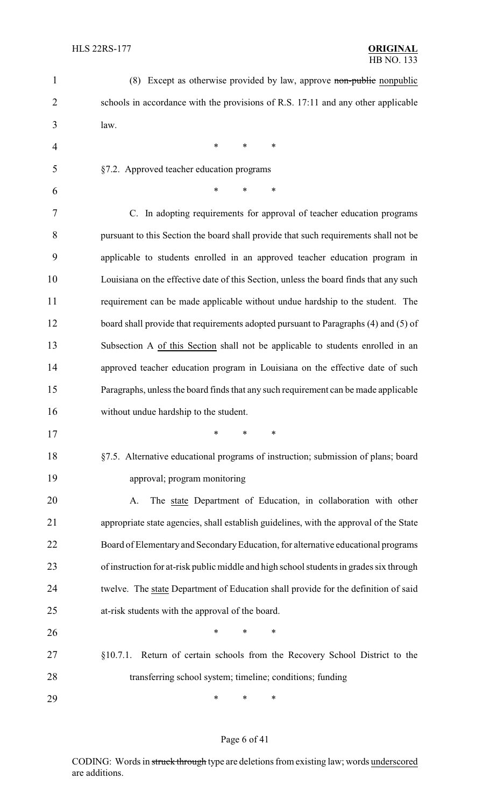| $\mathbf{1}$ | (8) Except as otherwise provided by law, approve non-public nonpublic                   |
|--------------|-----------------------------------------------------------------------------------------|
| 2            | schools in accordance with the provisions of R.S. 17:11 and any other applicable        |
| 3            | law.                                                                                    |
| 4            | $\ast$<br>$\ast$<br>$\ast$                                                              |
| 5            | §7.2. Approved teacher education programs                                               |
| 6            | *<br>$\ast$<br>∗                                                                        |
| 7            | C. In adopting requirements for approval of teacher education programs                  |
| 8            | pursuant to this Section the board shall provide that such requirements shall not be    |
| 9            | applicable to students enrolled in an approved teacher education program in             |
| 10           | Louisiana on the effective date of this Section, unless the board finds that any such   |
| 11           | requirement can be made applicable without undue hardship to the student. The           |
| 12           | board shall provide that requirements adopted pursuant to Paragraphs (4) and (5) of     |
| 13           | Subsection A of this Section shall not be applicable to students enrolled in an         |
| 14           | approved teacher education program in Louisiana on the effective date of such           |
| 15           | Paragraphs, unless the board finds that any such requirement can be made applicable     |
| 16           | without undue hardship to the student.                                                  |
| 17           |                                                                                         |
| 18           | §7.5. Alternative educational programs of instruction; submission of plans; board       |
| 19           | approval; program monitoring                                                            |
| 20           | The state Department of Education, in collaboration with other<br>A.                    |
| 21           | appropriate state agencies, shall establish guidelines, with the approval of the State  |
| 22           | Board of Elementary and Secondary Education, for alternative educational programs       |
| 23           | of instruction for at-risk public middle and high school students in grades six through |
| 24           | twelve. The state Department of Education shall provide for the definition of said      |
| 25           | at-risk students with the approval of the board.                                        |
| 26           | *<br>*<br>∗                                                                             |
| 27           | $$10.7.1$ .<br>Return of certain schools from the Recovery School District to the       |
| 28           | transferring school system; timeline; conditions; funding                               |
| 29           | ∗<br>∗<br>∗                                                                             |

# Page 6 of 41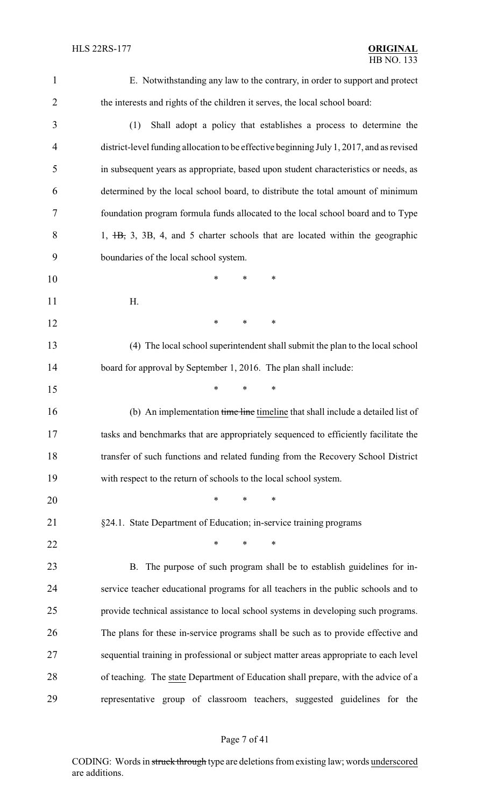E. Notwithstanding any law to the contrary, in order to support and protect the interests and rights of the children it serves, the local school board:

- (1) Shall adopt a policy that establishes a process to determine the district-level funding allocation to be effective beginning July 1, 2017, and as revised in subsequent years as appropriate, based upon student characteristics or needs, as determined by the local school board, to distribute the total amount of minimum foundation program formula funds allocated to the local school board and to Type 8 1, <del>1B,</del> 3, 3B, 4, and 5 charter schools that are located within the geographic boundaries of the local school system.
- \* \* \* H.
- **\*** \* \* \*
- (4) The local school superintendent shall submit the plan to the local school 14 board for approval by September 1, 2016. The plan shall include:
- 16 (b) An implementation time line timeline that shall include a detailed list of tasks and benchmarks that are appropriately sequenced to efficiently facilitate the transfer of such functions and related funding from the Recovery School District with respect to the return of schools to the local school system.
- \* \* \*
- §24.1. State Department of Education; in-service training programs

**\*** \* \* \*

\* \* \*

 B. The purpose of such program shall be to establish guidelines for in- service teacher educational programs for all teachers in the public schools and to provide technical assistance to local school systems in developing such programs. The plans for these in-service programs shall be such as to provide effective and sequential training in professional or subject matter areas appropriate to each level of teaching. The state Department of Education shall prepare, with the advice of a representative group of classroom teachers, suggested guidelines for the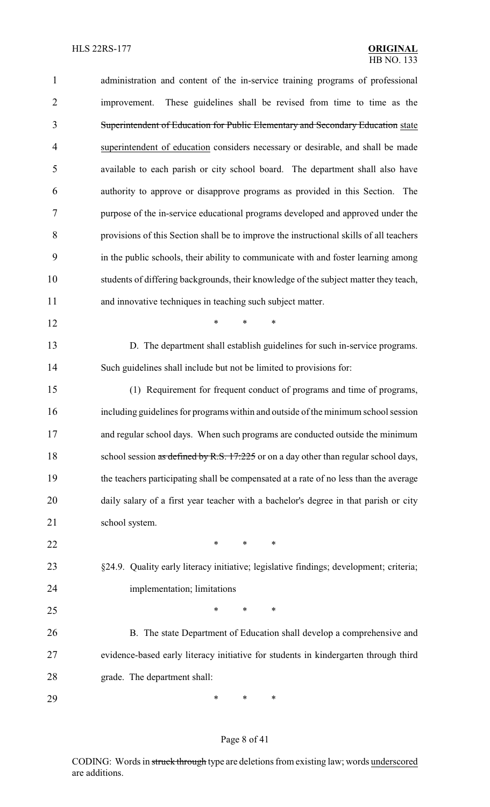| $\mathbf{1}$   | administration and content of the in-service training programs of professional          |
|----------------|-----------------------------------------------------------------------------------------|
| $\overline{2}$ | These guidelines shall be revised from time to time as the<br>improvement.              |
| 3              | Superintendent of Education for Public Elementary and Secondary Education state         |
| 4              | superintendent of education considers necessary or desirable, and shall be made         |
| 5              | available to each parish or city school board. The department shall also have           |
| 6              | authority to approve or disapprove programs as provided in this Section. The            |
| 7              | purpose of the in-service educational programs developed and approved under the         |
| 8              | provisions of this Section shall be to improve the instructional skills of all teachers |
| 9              | in the public schools, their ability to communicate with and foster learning among      |
| 10             | students of differing backgrounds, their knowledge of the subject matter they teach,    |
| 11             | and innovative techniques in teaching such subject matter.                              |
| 12             | $\ast$<br>$\ast$<br>$\ast$                                                              |
| 13             | D. The department shall establish guidelines for such in-service programs.              |
| 14             | Such guidelines shall include but not be limited to provisions for:                     |
| 15             | (1) Requirement for frequent conduct of programs and time of programs,                  |
| 16             | including guidelines for programs within and outside of the minimum school session      |
| 17             | and regular school days. When such programs are conducted outside the minimum           |
| 18             | school session as defined by R.S. 17:225 or on a day other than regular school days,    |
| 19             | the teachers participating shall be compensated at a rate of no less than the average   |
| 20             | daily salary of a first year teacher with a bachelor's degree in that parish or city    |
| 21             | school system.                                                                          |
| 22             | $\ast$<br>$\ast$<br>$\ast$                                                              |
| 23             | §24.9. Quality early literacy initiative; legislative findings; development; criteria;  |
| 24             | implementation; limitations                                                             |
| 25             | $\ast$<br>*<br>$\ast$                                                                   |
| 26             | B. The state Department of Education shall develop a comprehensive and                  |
| 27             | evidence-based early literacy initiative for students in kindergarten through third     |
| 28             | grade. The department shall:                                                            |
| 29             | ∗<br>∗<br>∗                                                                             |

# Page 8 of 41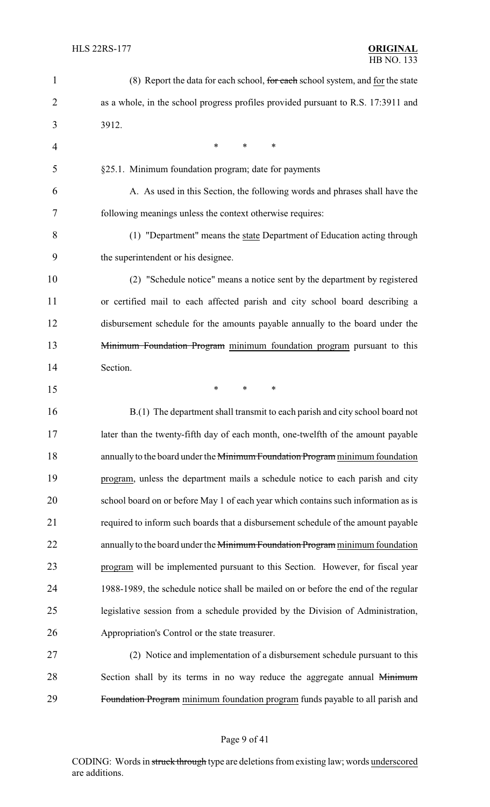| $\mathbf{1}$   | (8) Report the data for each school, for each school system, and for the state     |
|----------------|------------------------------------------------------------------------------------|
| $\overline{2}$ | as a whole, in the school progress profiles provided pursuant to R.S. 17:3911 and  |
| 3              | 3912.                                                                              |
| 4              | *<br>*<br>*                                                                        |
| 5              | §25.1. Minimum foundation program; date for payments                               |
| 6              | A. As used in this Section, the following words and phrases shall have the         |
| 7              | following meanings unless the context otherwise requires:                          |
| 8              | (1) "Department" means the state Department of Education acting through            |
| 9              | the superintendent or his designee.                                                |
| 10             | (2) "Schedule notice" means a notice sent by the department by registered          |
| 11             | or certified mail to each affected parish and city school board describing a       |
| 12             | disbursement schedule for the amounts payable annually to the board under the      |
| 13             | Minimum Foundation Program minimum foundation program pursuant to this             |
| 14             | Section.                                                                           |
| 15             | ∗<br>∗<br>∗                                                                        |
| 16             | B.(1) The department shall transmit to each parish and city school board not       |
| 17             | later than the twenty-fifth day of each month, one-twelfth of the amount payable   |
| 18             | annually to the board under the Minimum Foundation Program minimum foundation      |
| 19             | program, unless the department mails a schedule notice to each parish and city     |
| 20             | school board on or before May 1 of each year which contains such information as is |
| 21             | required to inform such boards that a disbursement schedule of the amount payable  |
| 22             | annually to the board under the Minimum Foundation Program minimum foundation      |
| 23             | program will be implemented pursuant to this Section. However, for fiscal year     |
| 24             | 1988-1989, the schedule notice shall be mailed on or before the end of the regular |
| 25             | legislative session from a schedule provided by the Division of Administration,    |
| 26             | Appropriation's Control or the state treasurer.                                    |
| 27             | (2) Notice and implementation of a disbursement schedule pursuant to this          |
| 28             | Section shall by its terms in no way reduce the aggregate annual Minimum           |
| 29             | Foundation Program minimum foundation program funds payable to all parish and      |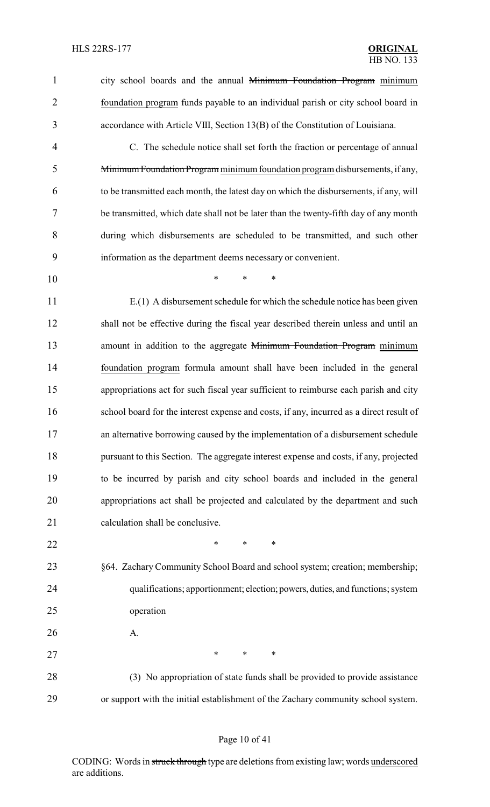1 city school boards and the annual Minimum Foundation Program minimum foundation program funds payable to an individual parish or city school board in accordance with Article VIII, Section 13(B) of the Constitution of Louisiana.

 C. The schedule notice shall set forth the fraction or percentage of annual Minimum Foundation Program minimumfoundation program disbursements, if any, to be transmitted each month, the latest day on which the disbursements, if any, will be transmitted, which date shall not be later than the twenty-fifth day of any month during which disbursements are scheduled to be transmitted, and such other information as the department deems necessary or convenient.

\* \* \*

 E.(1) A disbursement schedule for which the schedule notice has been given shall not be effective during the fiscal year described therein unless and until an 13 amount in addition to the aggregate Minimum Foundation Program minimum foundation program formula amount shall have been included in the general appropriations act for such fiscal year sufficient to reimburse each parish and city school board for the interest expense and costs, if any, incurred as a direct result of an alternative borrowing caused by the implementation of a disbursement schedule pursuant to this Section. The aggregate interest expense and costs, if any, projected to be incurred by parish and city school boards and included in the general appropriations act shall be projected and calculated by the department and such 21 calculation shall be conclusive.

- **\*** \* \* \*
- §64. Zachary Community School Board and school system; creation; membership; qualifications; apportionment; election; powers, duties, and functions; system operation
- A.

27 \* \* \* \* 28 (3) No appropriation of state funds shall be provided to provide assistance

or support with the initial establishment of the Zachary community school system.

#### Page 10 of 41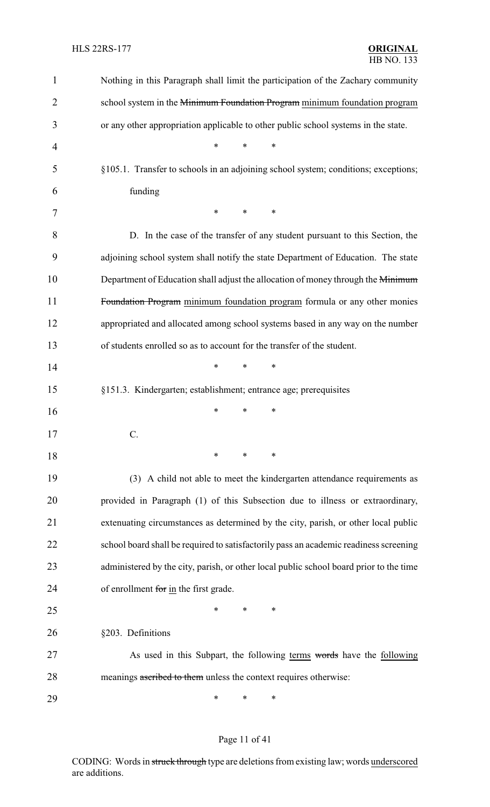| 1              | Nothing in this Paragraph shall limit the participation of the Zachary community       |
|----------------|----------------------------------------------------------------------------------------|
| $\overline{c}$ | school system in the Minimum Foundation Program minimum foundation program             |
| 3              | or any other appropriation applicable to other public school systems in the state.     |
| 4              | $\ast$<br>∗<br>∗                                                                       |
| 5              | §105.1. Transfer to schools in an adjoining school system; conditions; exceptions;     |
| 6              | funding                                                                                |
| 7              | $\ast$<br>∗<br>∗                                                                       |
| 8              | D. In the case of the transfer of any student pursuant to this Section, the            |
| 9              | adjoining school system shall notify the state Department of Education. The state      |
| 10             | Department of Education shall adjust the allocation of money through the Minimum       |
| 11             | Foundation Program minimum foundation program formula or any other monies              |
| 12             | appropriated and allocated among school systems based in any way on the number         |
| 13             | of students enrolled so as to account for the transfer of the student.                 |
| 14             | $\ast$<br>∗<br>∗                                                                       |
| 15             | §151.3. Kindergarten; establishment; entrance age; prerequisites                       |
| 16             | *<br>∗<br>∗                                                                            |
| 17             |                                                                                        |
| 18             | ∗<br>*<br>∗                                                                            |
| 19             | (3) A child not able to meet the kindergarten attendance requirements as               |
| 20             | provided in Paragraph (1) of this Subsection due to illness or extraordinary,          |
| 21             | extenuating circumstances as determined by the city, parish, or other local public     |
| 22             | school board shall be required to satisfactorily pass an academic readiness screening  |
| 23             | administered by the city, parish, or other local public school board prior to the time |
| 24             | of enrollment for in the first grade.                                                  |
| 25             | *<br>∗<br>∗                                                                            |
| 26             | §203. Definitions                                                                      |
| 27             | As used in this Subpart, the following terms words have the following                  |
| 28             | meanings ascribed to them unless the context requires otherwise:                       |
| 29             | ∗<br>∗<br>∗                                                                            |

# Page 11 of 41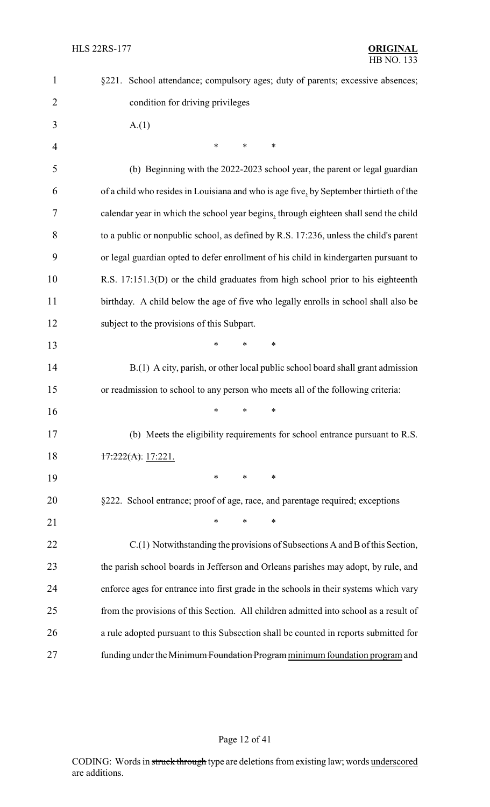| $\mathbf{1}$   | §221. School attendance; compulsory ages; duty of parents; excessive absences;         |
|----------------|----------------------------------------------------------------------------------------|
| $\overline{2}$ | condition for driving privileges                                                       |
| 3              | A(1)                                                                                   |
| $\overline{4}$ | $\ast$<br>$\ast$<br>$\ast$                                                             |
| 5              | (b) Beginning with the 2022-2023 school year, the parent or legal guardian             |
| 6              | of a child who resides in Louisiana and who is age five, by September thirtieth of the |
| 7              | calendar year in which the school year begins, through eighteen shall send the child   |
| 8              | to a public or nonpublic school, as defined by R.S. 17:236, unless the child's parent  |
| 9              | or legal guardian opted to defer enrollment of his child in kindergarten pursuant to   |
| 10             | R.S. 17:151.3(D) or the child graduates from high school prior to his eighteenth       |
| 11             | birthday. A child below the age of five who legally enrolls in school shall also be    |
| 12             | subject to the provisions of this Subpart.                                             |
| 13             | $\ast$<br>*<br>∗                                                                       |
| 14             | B.(1) A city, parish, or other local public school board shall grant admission         |
| 15             | or readmission to school to any person who meets all of the following criteria:        |
| 16             | *<br>*<br>∗                                                                            |
| 17             | (b) Meets the eligibility requirements for school entrance pursuant to R.S.            |
| 18             | $17:222(A)$ : 17:221.                                                                  |
| 19             | $\ast$<br>$\ast$<br>$\ast$                                                             |
| 20             | §222. School entrance; proof of age, race, and parentage required; exceptions          |
| 21             | *<br>$\ast$<br>*                                                                       |
| 22             | C.(1) Notwithstanding the provisions of Subsections A and B of this Section,           |
| 23             | the parish school boards in Jefferson and Orleans parishes may adopt, by rule, and     |
| 24             | enforce ages for entrance into first grade in the schools in their systems which vary  |
| 25             | from the provisions of this Section. All children admitted into school as a result of  |
| 26             | a rule adopted pursuant to this Subsection shall be counted in reports submitted for   |
| 27             | funding under the Minimum Foundation Program minimum foundation program and            |

# Page 12 of 41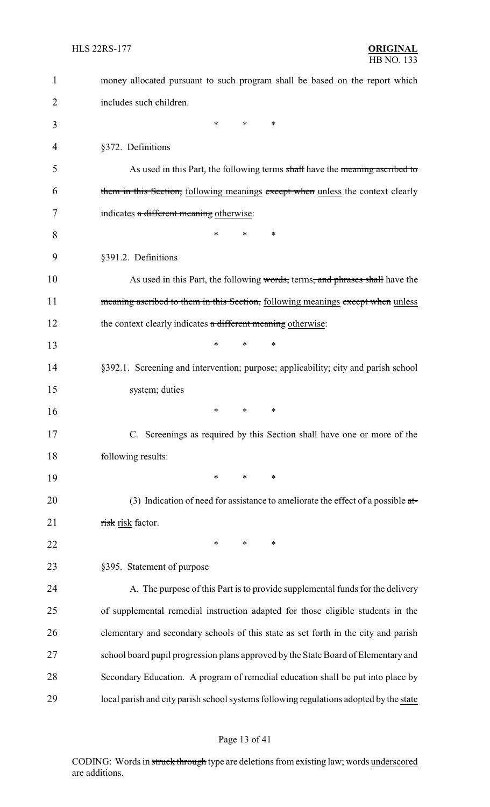| 1  | money allocated pursuant to such program shall be based on the report which            |
|----|----------------------------------------------------------------------------------------|
| 2  | includes such children.                                                                |
| 3  | *<br>$\ast$<br>$\ast$                                                                  |
| 4  | §372. Definitions                                                                      |
| 5  | As used in this Part, the following terms shall have the meaning ascribed to           |
| 6  | them in this Section, following meanings except when unless the context clearly        |
| 7  | indicates a different meaning otherwise:                                               |
| 8  | *<br>*<br>∗                                                                            |
| 9  | §391.2. Definitions                                                                    |
| 10 | As used in this Part, the following words, terms, and phrases shall have the           |
| 11 | meaning ascribed to them in this Section, following meanings except when unless        |
| 12 | the context clearly indicates a different meaning otherwise:                           |
| 13 | *<br>*<br>∗                                                                            |
| 14 | §392.1. Screening and intervention; purpose; applicability; city and parish school     |
| 15 | system; duties                                                                         |
| 16 | *<br>∗<br>∗                                                                            |
| 17 | C. Screenings as required by this Section shall have one or more of the                |
| 18 | following results:                                                                     |
| 19 | *<br>$\ast$<br>∗                                                                       |
| 20 | (3) Indication of need for assistance to ameliorate the effect of a possible $a t =$   |
| 21 | risk risk factor.                                                                      |
| 22 | $\ast$<br>$\ast$<br>$\ast$                                                             |
| 23 | §395. Statement of purpose                                                             |
| 24 | A. The purpose of this Part is to provide supplemental funds for the delivery          |
| 25 | of supplemental remedial instruction adapted for those eligible students in the        |
| 26 | elementary and secondary schools of this state as set forth in the city and parish     |
| 27 | school board pupil progression plans approved by the State Board of Elementary and     |
| 28 | Secondary Education. A program of remedial education shall be put into place by        |
| 29 | local parish and city parish school systems following regulations adopted by the state |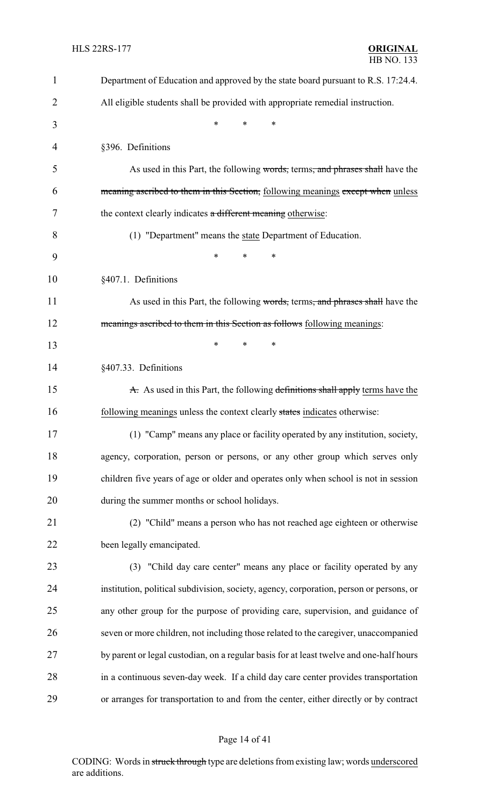| $\mathbf{1}$ | Department of Education and approved by the state board pursuant to R.S. 17:24.4.       |
|--------------|-----------------------------------------------------------------------------------------|
| 2            | All eligible students shall be provided with appropriate remedial instruction.          |
| 3            | $\ast$<br>*<br>$\ast$                                                                   |
| 4            | §396. Definitions                                                                       |
| 5            | As used in this Part, the following words, terms, and phrases shall have the            |
| 6            | meaning ascribed to them in this Section, following meanings except when unless         |
| 7            | the context clearly indicates a different meaning otherwise:                            |
| 8            | (1) "Department" means the state Department of Education.                               |
| 9            | ∗<br>*                                                                                  |
| 10           | §407.1. Definitions                                                                     |
| 11           | As used in this Part, the following words, terms, and phrases shall have the            |
| 12           | meanings ascribed to them in this Section as follows following meanings:                |
| 13           | $\ast$<br>∗<br>*                                                                        |
| 14           | §407.33. Definitions                                                                    |
| 15           | A. As used in this Part, the following definitions shall apply terms have the           |
| 16           | following meanings unless the context clearly states indicates otherwise:               |
| 17           | (1) "Camp" means any place or facility operated by any institution, society,            |
| 18           | agency, corporation, person or persons, or any other group which serves only            |
| 19           | children five years of age or older and operates only when school is not in session     |
| 20           | during the summer months or school holidays.                                            |
| 21           | (2) "Child" means a person who has not reached age eighteen or otherwise                |
| 22           | been legally emancipated.                                                               |
| 23           | (3) "Child day care center" means any place or facility operated by any                 |
| 24           | institution, political subdivision, society, agency, corporation, person or persons, or |
| 25           | any other group for the purpose of providing care, supervision, and guidance of         |
| 26           | seven or more children, not including those related to the caregiver, unaccompanied     |
| 27           | by parent or legal custodian, on a regular basis for at least twelve and one-half hours |
| 28           | in a continuous seven-day week. If a child day care center provides transportation      |
| 29           | or arranges for transportation to and from the center, either directly or by contract   |

# Page 14 of 41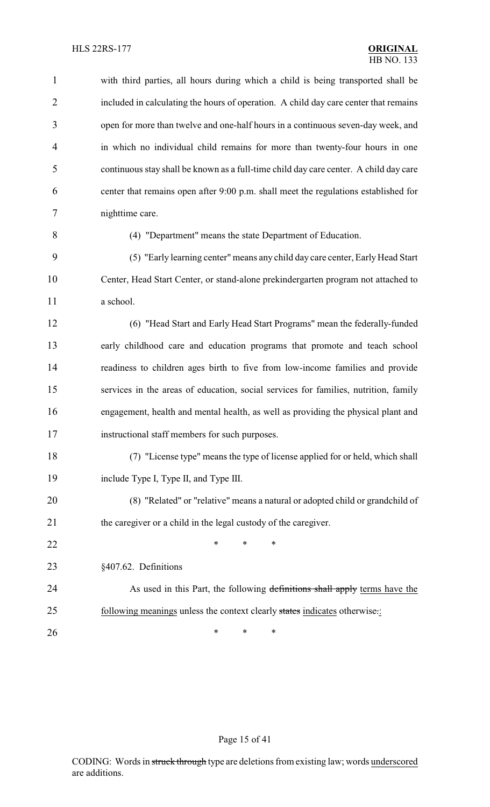| $\mathbf{1}$   | with third parties, all hours during which a child is being transported shall be      |
|----------------|---------------------------------------------------------------------------------------|
| $\overline{2}$ | included in calculating the hours of operation. A child day care center that remains  |
| 3              | open for more than twelve and one-half hours in a continuous seven-day week, and      |
| $\overline{4}$ | in which no individual child remains for more than twenty-four hours in one           |
| 5              | continuous stay shall be known as a full-time child day care center. A child day care |
| 6              | center that remains open after 9:00 p.m. shall meet the regulations established for   |
| 7              | nighttime care.                                                                       |
| 8              | (4) "Department" means the state Department of Education.                             |
| 9              | (5) "Early learning center" means any child day care center, Early Head Start         |
| 10             | Center, Head Start Center, or stand-alone prekindergarten program not attached to     |
| 11             | a school.                                                                             |
| 12             | (6) "Head Start and Early Head Start Programs" mean the federally-funded              |
| 13             | early childhood care and education programs that promote and teach school             |
| 14             | readiness to children ages birth to five from low-income families and provide         |
| 15             | services in the areas of education, social services for families, nutrition, family   |
| 16             | engagement, health and mental health, as well as providing the physical plant and     |
| 17             | instructional staff members for such purposes.                                        |
| 18             | (7) "License type" means the type of license applied for or held, which shall         |
| 19             | include Type I, Type II, and Type III.                                                |
| 20             | (8) "Related" or "relative" means a natural or adopted child or grandchild of         |
| 21             | the caregiver or a child in the legal custody of the caregiver.                       |
| 22             | *<br>*<br>*                                                                           |
| 23             | §407.62. Definitions                                                                  |
| 24             | As used in this Part, the following definitions shall apply terms have the            |
| 25             | following meanings unless the context clearly states indicates otherwise.:            |
| 26             | ∗<br>∗<br>∗                                                                           |

# Page 15 of 41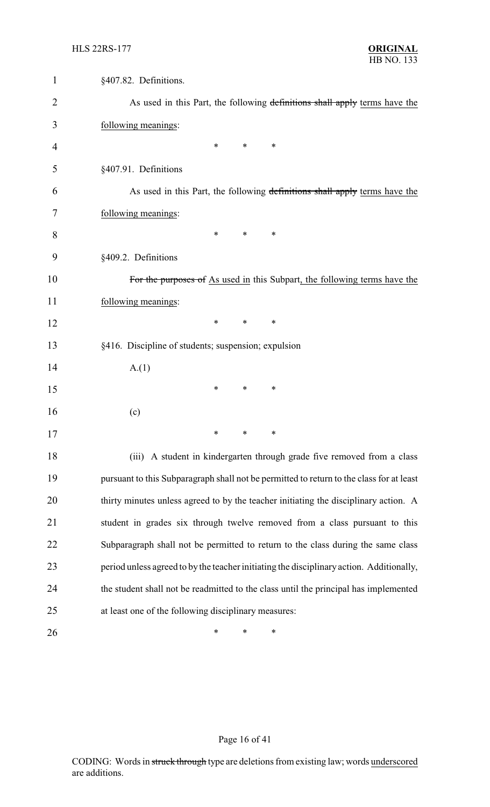| 1  | §407.82. Definitions.                                                                    |
|----|------------------------------------------------------------------------------------------|
| 2  | As used in this Part, the following definitions shall apply terms have the               |
| 3  | following meanings:                                                                      |
| 4  | $\ast$<br>$\ast$<br>*                                                                    |
| 5  | §407.91. Definitions                                                                     |
| 6  | As used in this Part, the following definitions shall apply terms have the               |
| 7  | following meanings:                                                                      |
| 8  | $\ast$<br>∗<br>$\ast$                                                                    |
| 9  | §409.2. Definitions                                                                      |
| 10 | For the purposes of As used in this Subpart, the following terms have the                |
| 11 | following meanings:                                                                      |
| 12 | $\ast$<br>∗<br>∗                                                                         |
| 13 | §416. Discipline of students; suspension; expulsion                                      |
| 14 | A(1)                                                                                     |
| 15 | ∗<br>*<br>∗                                                                              |
| 16 | (c)                                                                                      |
| 17 | ∗<br>∗<br>∗                                                                              |
| 18 | (iii) A student in kindergarten through grade five removed from a class                  |
| 19 | pursuant to this Subparagraph shall not be permitted to return to the class for at least |
| 20 | thirty minutes unless agreed to by the teacher initiating the disciplinary action. A     |
| 21 | student in grades six through twelve removed from a class pursuant to this               |
| 22 | Subparagraph shall not be permitted to return to the class during the same class         |
| 23 | period unless agreed to by the teacher initiating the disciplinary action. Additionally, |
| 24 | the student shall not be readmitted to the class until the principal has implemented     |
| 25 | at least one of the following disciplinary measures:                                     |
| 26 | $\ast$<br>∗<br>∗                                                                         |

# Page 16 of 41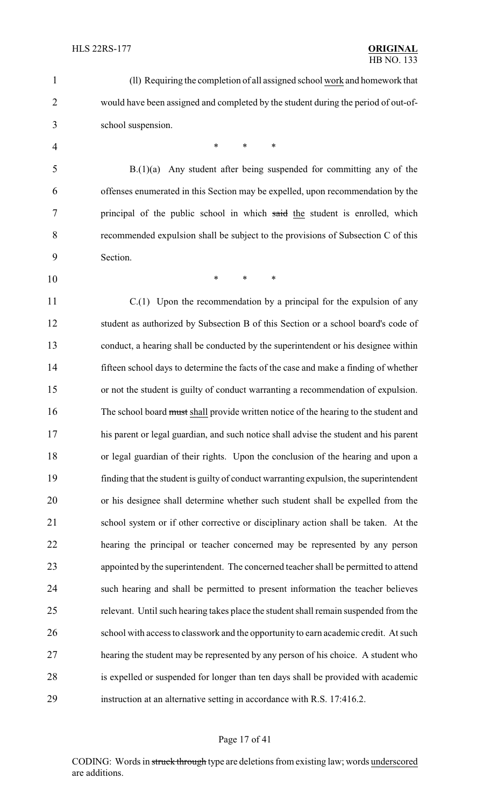(ll) Requiring the completion of all assigned school work and homework that would have been assigned and completed by the student during the period of out-of- school suspension. 4 \* \* \* \* B.(1)(a) Any student after being suspended for committing any of the offenses enumerated in this Section may be expelled, upon recommendation by the principal of the public school in which said the student is enrolled, which recommended expulsion shall be subject to the provisions of Subsection C of this Section. \* \* \* C.(1) Upon the recommendation by a principal for the expulsion of any student as authorized by Subsection B of this Section or a school board's code of conduct, a hearing shall be conducted by the superintendent or his designee within fifteen school days to determine the facts of the case and make a finding of whether or not the student is guilty of conduct warranting a recommendation of expulsion. 16 The school board must shall provide written notice of the hearing to the student and his parent or legal guardian, and such notice shall advise the student and his parent or legal guardian of their rights. Upon the conclusion of the hearing and upon a finding that the student is guilty of conduct warranting expulsion, the superintendent or his designee shall determine whether such student shall be expelled from the school system or if other corrective or disciplinary action shall be taken. At the hearing the principal or teacher concerned may be represented by any person appointed by the superintendent. The concerned teacher shall be permitted to attend such hearing and shall be permitted to present information the teacher believes relevant. Until such hearing takes place the student shall remain suspended from the 26 school with access to classwork and the opportunity to earn academic credit. At such hearing the student may be represented by any person of his choice. A student who is expelled or suspended for longer than ten days shall be provided with academic instruction at an alternative setting in accordance with R.S. 17:416.2.

#### Page 17 of 41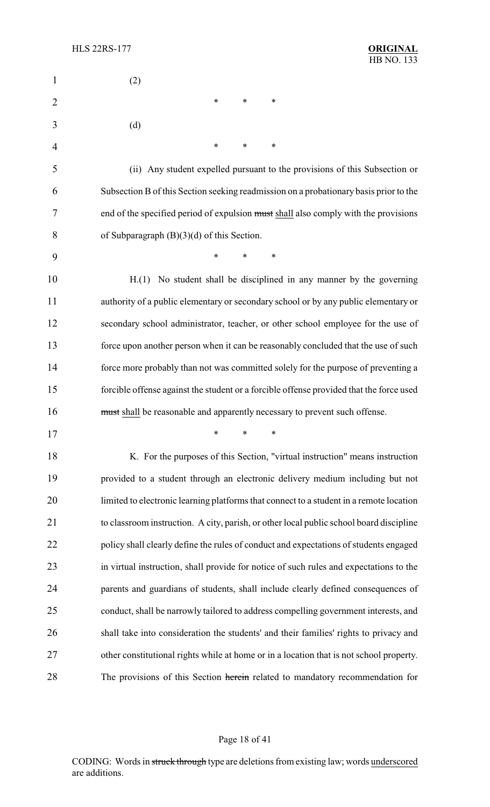| $\mathbf{1}$   | (2)                                                                                     |
|----------------|-----------------------------------------------------------------------------------------|
| $\overline{2}$ | $\ast$<br>$\ast$<br>*                                                                   |
| 3              | (d)                                                                                     |
| 4              | $\ast$<br>$\ast$<br>*                                                                   |
| 5              | (ii) Any student expelled pursuant to the provisions of this Subsection or              |
| 6              | Subsection B of this Section seeking readmission on a probationary basis prior to the   |
| 7              | end of the specified period of expulsion must shall also comply with the provisions     |
| 8              | of Subparagraph $(B)(3)(d)$ of this Section.                                            |
| 9              | $\ast$<br>$\ast$<br>$\ast$                                                              |
| 10             | H.(1) No student shall be disciplined in any manner by the governing                    |
| 11             | authority of a public elementary or secondary school or by any public elementary or     |
| 12             | secondary school administrator, teacher, or other school employee for the use of        |
| 13             | force upon another person when it can be reasonably concluded that the use of such      |
| 14             | force more probably than not was committed solely for the purpose of preventing a       |
| 15             | forcible offense against the student or a forcible offense provided that the force used |
| 16             | must shall be reasonable and apparently necessary to prevent such offense.              |
| 17             | ∗<br>$*$ and $*$<br>∗                                                                   |
| 18             | K. For the purposes of this Section, "virtual instruction" means instruction            |
| 19             | provided to a student through an electronic delivery medium including but not           |
| 20             | limited to electronic learning platforms that connect to a student in a remote location |
| 21             | to classroom instruction. A city, parish, or other local public school board discipline |
| 22             | policy shall clearly define the rules of conduct and expectations of students engaged   |
| 23             | in virtual instruction, shall provide for notice of such rules and expectations to the  |
| 24             | parents and guardians of students, shall include clearly defined consequences of        |
| 25             | conduct, shall be narrowly tailored to address compelling government interests, and     |
| 26             | shall take into consideration the students' and their families' rights to privacy and   |
| 27             | other constitutional rights while at home or in a location that is not school property. |
| 28             | The provisions of this Section herein related to mandatory recommendation for           |

# Page 18 of 41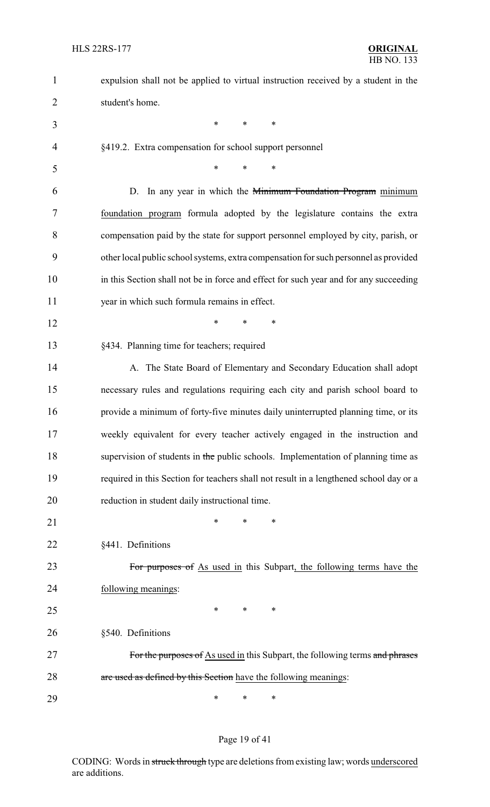| $\mathbf{1}$   | expulsion shall not be applied to virtual instruction received by a student in the     |
|----------------|----------------------------------------------------------------------------------------|
| $\overline{2}$ | student's home.                                                                        |
| 3              | $\ast$<br>$\ast$<br>*                                                                  |
| $\overline{4}$ | §419.2. Extra compensation for school support personnel                                |
| 5              | $\ast$<br>$\ast$<br>∗                                                                  |
| 6              | D. In any year in which the Minimum Foundation Program minimum                         |
| 7              | foundation program formula adopted by the legislature contains the extra               |
| 8              | compensation paid by the state for support personnel employed by city, parish, or      |
| 9              | other local public school systems, extra compensation for such personnel as provided   |
| 10             | in this Section shall not be in force and effect for such year and for any succeeding  |
| 11             | year in which such formula remains in effect.                                          |
| 12             | $\ast$<br>$\ast$<br>*                                                                  |
| 13             | §434. Planning time for teachers; required                                             |
| 14             | A. The State Board of Elementary and Secondary Education shall adopt                   |
| 15             | necessary rules and regulations requiring each city and parish school board to         |
| 16             | provide a minimum of forty-five minutes daily uninterrupted planning time, or its      |
| 17             | weekly equivalent for every teacher actively engaged in the instruction and            |
| 18             | supervision of students in the public schools. Implementation of planning time as      |
| 19             | required in this Section for teachers shall not result in a lengthened school day or a |
| 20             | reduction in student daily instructional time.                                         |
| 21             | $\ast$<br>*<br>∗                                                                       |
| 22             | §441. Definitions                                                                      |
| 23             | For purposes of As used in this Subpart, the following terms have the                  |
| 24             | following meanings:                                                                    |
| 25             | $\ast$<br>∗<br>∗                                                                       |
| 26             | §540. Definitions                                                                      |
| 27             | For the purposes of As used in this Subpart, the following terms and phrases           |
| 28             | are used as defined by this Section have the following meanings:                       |
| 29             | $\ast$<br>∗<br>∗                                                                       |

# Page 19 of 41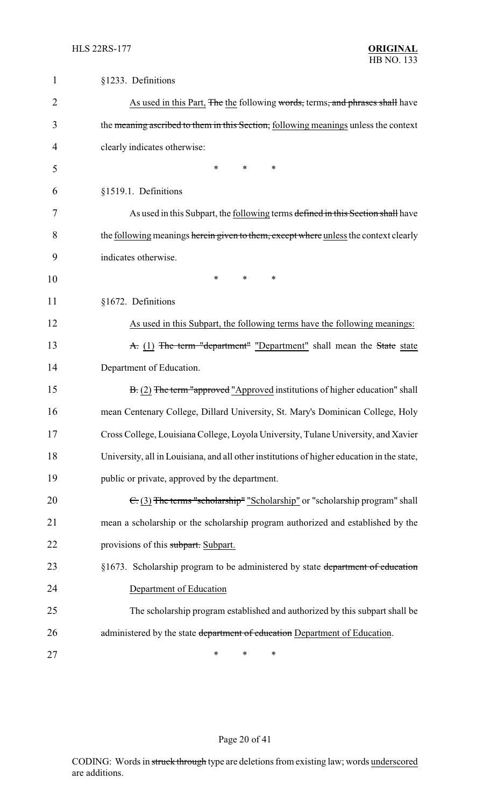| $\mathbf{1}$   | §1233. Definitions                                                                         |
|----------------|--------------------------------------------------------------------------------------------|
| $\overline{2}$ | As used in this Part, The the following words, terms, and phrases shall have               |
| 3              | the meaning ascribed to them in this Section, following meanings unless the context        |
| 4              | clearly indicates otherwise:                                                               |
| 5              | $\ast$<br>$\ast$<br>$\ast$                                                                 |
| 6              | §1519.1. Definitions                                                                       |
| 7              | As used in this Subpart, the following terms defined in this Section shall have            |
| 8              | the following meanings herein given to them, except where unless the context clearly       |
| 9              | indicates otherwise.                                                                       |
| 10             | *<br>*<br>∗                                                                                |
| 11             | §1672. Definitions                                                                         |
| 12             | As used in this Subpart, the following terms have the following meanings:                  |
| 13             | A. (1) The term "department" "Department" shall mean the State state                       |
| 14             | Department of Education.                                                                   |
| 15             | B. (2) The term "approved "Approved institutions of higher education" shall                |
| 16             | mean Centenary College, Dillard University, St. Mary's Dominican College, Holy             |
| 17             | Cross College, Louisiana College, Loyola University, Tulane University, and Xavier         |
| 18             | University, all in Louisiana, and all other institutions of higher education in the state, |
| 19             | public or private, approved by the department.                                             |
| 20             | $\epsilon$ (3) The terms "scholarship" "Scholarship" or "scholarship program" shall        |
| 21             | mean a scholarship or the scholarship program authorized and established by the            |
| 22             | provisions of this subpart. Subpart.                                                       |
| 23             | §1673. Scholarship program to be administered by state department of education             |
| 24             | Department of Education                                                                    |
| 25             | The scholarship program established and authorized by this subpart shall be                |
| 26             | administered by the state department of education Department of Education.                 |
| 27             | ∗<br>∗<br>∗                                                                                |

# Page 20 of 41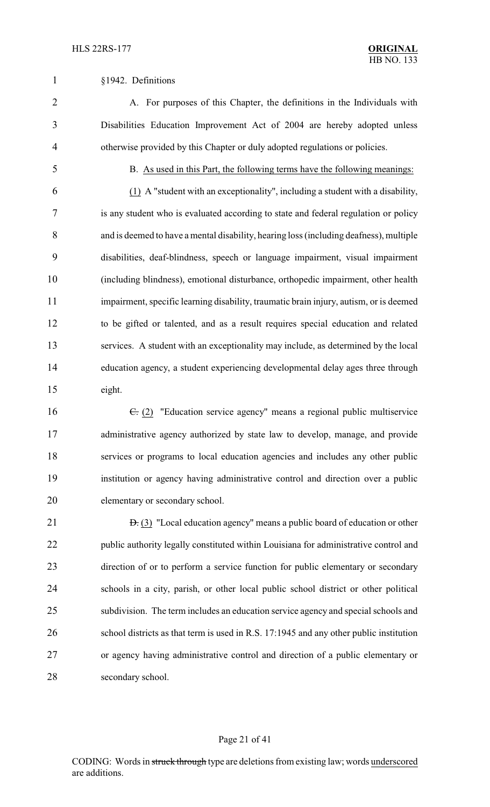#### §1942. Definitions

 A. For purposes of this Chapter, the definitions in the Individuals with Disabilities Education Improvement Act of 2004 are hereby adopted unless otherwise provided by this Chapter or duly adopted regulations or policies.

B. As used in this Part, the following terms have the following meanings:

 (1) A "student with an exceptionality", including a student with a disability, is any student who is evaluated according to state and federal regulation or policy and is deemed to have a mental disability, hearing loss (including deafness), multiple disabilities, deaf-blindness, speech or language impairment, visual impairment (including blindness), emotional disturbance, orthopedic impairment, other health impairment, specific learning disability, traumatic brain injury, autism, or is deemed to be gifted or talented, and as a result requires special education and related services. A student with an exceptionality may include, as determined by the local education agency, a student experiencing developmental delay ages three through eight.

16 <del>C.</del> (2) "Education service agency" means a regional public multiservice administrative agency authorized by state law to develop, manage, and provide services or programs to local education agencies and includes any other public institution or agency having administrative control and direction over a public elementary or secondary school.

21 <del>D.</del> (3) "Local education agency" means a public board of education or other public authority legally constituted within Louisiana for administrative control and direction of or to perform a service function for public elementary or secondary schools in a city, parish, or other local public school district or other political subdivision. The term includes an education service agency and special schools and school districts as that term is used in R.S. 17:1945 and any other public institution or agency having administrative control and direction of a public elementary or secondary school.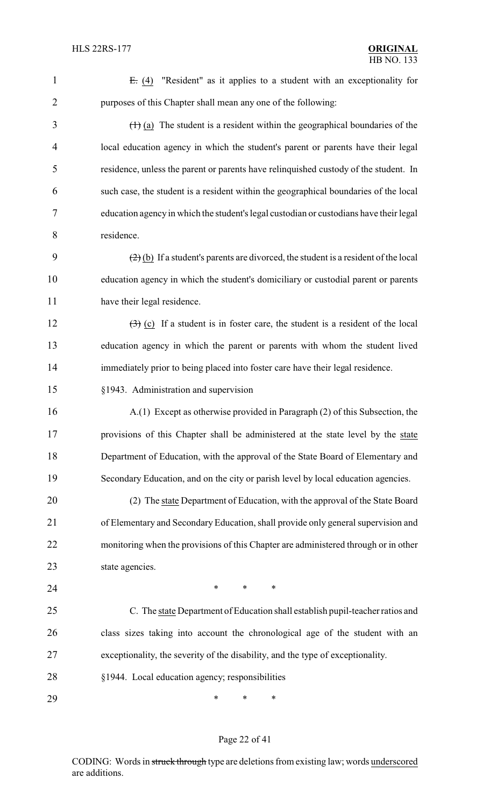| $\mathbf{1}$   | $E: (4)$ "Resident" as it applies to a student with an exceptionality for                             |
|----------------|-------------------------------------------------------------------------------------------------------|
| $\overline{2}$ | purposes of this Chapter shall mean any one of the following:                                         |
| 3              | $(1)$ (a) The student is a resident within the geographical boundaries of the                         |
| 4              | local education agency in which the student's parent or parents have their legal                      |
| 5              | residence, unless the parent or parents have relinquished custody of the student. In                  |
| 6              | such case, the student is a resident within the geographical boundaries of the local                  |
| 7              | education agency in which the student's legal custodian or custodians have their legal                |
| 8              | residence.                                                                                            |
| 9              | $(2)$ (b) If a student's parents are divorced, the student is a resident of the local                 |
| 10             | education agency in which the student's domiciliary or custodial parent or parents                    |
| 11             | have their legal residence.                                                                           |
| 12             | $\left(\frac{1}{2}\right)$ (c) If a student is in foster care, the student is a resident of the local |
| 13             | education agency in which the parent or parents with whom the student lived                           |
| 14             | immediately prior to being placed into foster care have their legal residence.                        |
| 15             | §1943. Administration and supervision                                                                 |
| 16             | A.(1) Except as otherwise provided in Paragraph (2) of this Subsection, the                           |
| 17             | provisions of this Chapter shall be administered at the state level by the state                      |
| 18             | Department of Education, with the approval of the State Board of Elementary and                       |
| 19             | Secondary Education, and on the city or parish level by local education agencies.                     |
| 20             | (2) The state Department of Education, with the approval of the State Board                           |
| 21             | of Elementary and Secondary Education, shall provide only general supervision and                     |
| 22             | monitoring when the provisions of this Chapter are administered through or in other                   |
| 23             | state agencies.                                                                                       |
| 24             | $\ast$<br>$\ast$<br>*                                                                                 |
| 25             | C. The state Department of Education shall establish pupil-teacher ratios and                         |
| 26             | class sizes taking into account the chronological age of the student with an                          |
| 27             | exceptionality, the severity of the disability, and the type of exceptionality.                       |
| 28             | §1944. Local education agency; responsibilities                                                       |
| 29             | $\ast$<br>$\ast$<br>∗                                                                                 |

# Page 22 of 41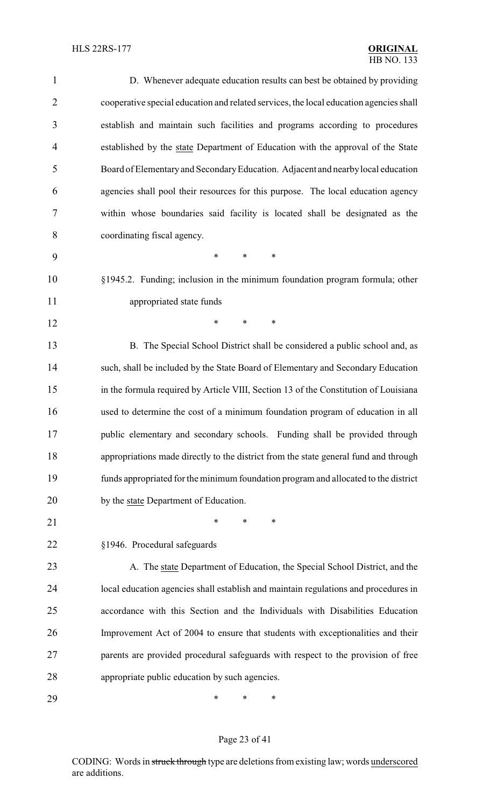| 1              | D. Whenever adequate education results can best be obtained by providing               |
|----------------|----------------------------------------------------------------------------------------|
| $\overline{2}$ | cooperative special education and related services, the local education agencies shall |
| 3              | establish and maintain such facilities and programs according to procedures            |
| $\overline{4}$ | established by the state Department of Education with the approval of the State        |
| 5              | Board of Elementary and Secondary Education. Adjacent and nearby local education       |
| 6              | agencies shall pool their resources for this purpose. The local education agency       |
| 7              | within whose boundaries said facility is located shall be designated as the            |
| 8              | coordinating fiscal agency.                                                            |
| 9              | $\ast$<br>$\ast$<br>$\ast$                                                             |
| 10             | §1945.2. Funding; inclusion in the minimum foundation program formula; other           |
| 11             | appropriated state funds                                                               |
| 12             | $\ast$<br>*<br>∗                                                                       |
| 13             | B. The Special School District shall be considered a public school and, as             |
| 14             | such, shall be included by the State Board of Elementary and Secondary Education       |
| 15             | in the formula required by Article VIII, Section 13 of the Constitution of Louisiana   |
| 16             | used to determine the cost of a minimum foundation program of education in all         |
| 17             | public elementary and secondary schools. Funding shall be provided through             |
| 18             | appropriations made directly to the district from the state general fund and through   |
| 19             | funds appropriated for the minimum foundation program and allocated to the district    |
| 20             | by the state Department of Education.                                                  |
| 21             | *<br>*<br>∗                                                                            |
| 22             | §1946. Procedural safeguards                                                           |
| 23             | A. The state Department of Education, the Special School District, and the             |
| 24             | local education agencies shall establish and maintain regulations and procedures in    |
| 25             | accordance with this Section and the Individuals with Disabilities Education           |
| 26             | Improvement Act of 2004 to ensure that students with exceptionalities and their        |
| 27             | parents are provided procedural safeguards with respect to the provision of free       |
| 28             | appropriate public education by such agencies.                                         |
| 29             | ∗<br>*<br>∗                                                                            |

# Page 23 of 41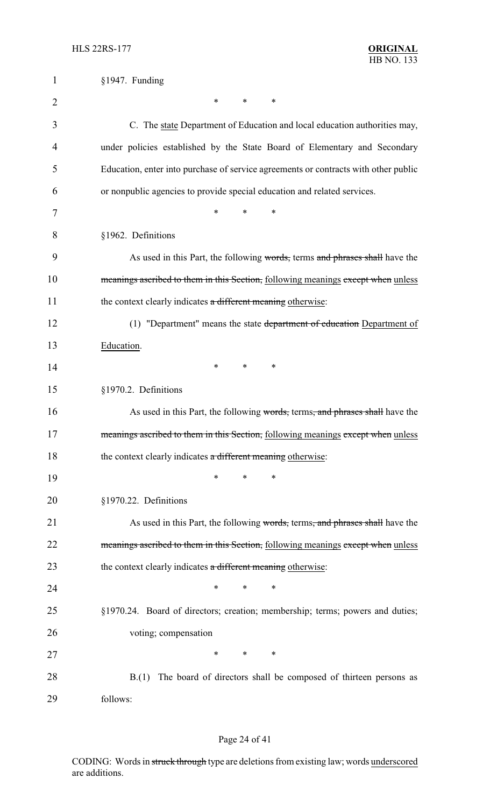| $\mathbf{1}$   | §1947. Funding                                                                      |
|----------------|-------------------------------------------------------------------------------------|
| $\overline{2}$ | ∗<br>∗<br>∗                                                                         |
| 3              | C. The state Department of Education and local education authorities may,           |
| 4              | under policies established by the State Board of Elementary and Secondary           |
| 5              | Education, enter into purchase of service agreements or contracts with other public |
| 6              | or nonpublic agencies to provide special education and related services.            |
| 7              | $\ast$<br>*<br>$\ast$                                                               |
| 8              | §1962. Definitions                                                                  |
| 9              | As used in this Part, the following words, terms and phrases shall have the         |
| 10             | meanings ascribed to them in this Section, following meanings except when unless    |
| 11             | the context clearly indicates a different meaning otherwise:                        |
| 12             | (1) "Department" means the state department of education Department of              |
| 13             | Education.                                                                          |
| 14             | $\ast$<br>∗<br>$\ast$                                                               |
| 15             | §1970.2. Definitions                                                                |
| 16             | As used in this Part, the following words, terms, and phrases shall have the        |
| 17             | meanings ascribed to them in this Section, following meanings except when unless    |
| 18             | the context clearly indicates a different meaning otherwise:                        |
| 19             | *<br>∗<br>*                                                                         |
| 20             | §1970.22. Definitions                                                               |
| 21             | As used in this Part, the following words, terms, and phrases shall have the        |
| 22             | meanings ascribed to them in this Section, following meanings except when unless    |
| 23             | the context clearly indicates a different meaning otherwise:                        |
| 24             | *<br>*<br>∗                                                                         |
| 25             | §1970.24. Board of directors; creation; membership; terms; powers and duties;       |
| 26             | voting; compensation                                                                |
| 27             | *<br>∗<br>∗                                                                         |
| 28             | The board of directors shall be composed of thirteen persons as<br>B(1)             |
| 29             | follows:                                                                            |

# Page 24 of 41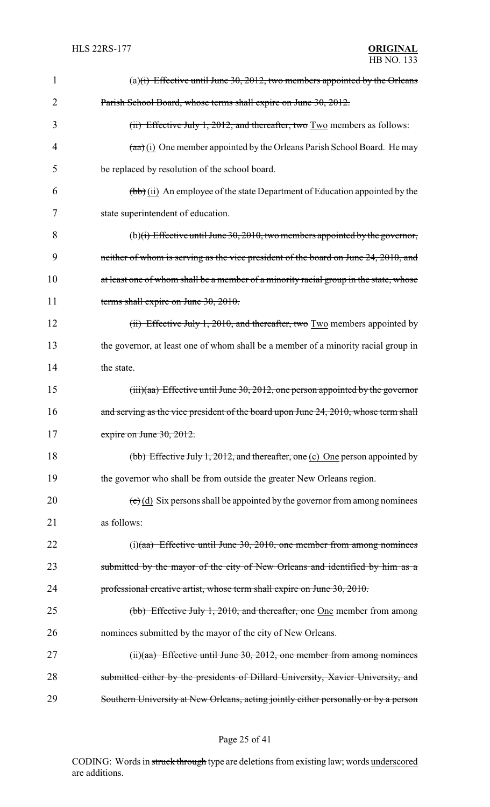| 1  | (a) $(i)$ Effective until June 30, 2012, two members appointed by the Orleans            |
|----|------------------------------------------------------------------------------------------|
| 2  | Parish School Board, whose terms shall expire on June 30, 2012.                          |
| 3  | $(i)$ Effective July 1, 2012, and thereafter, two $Two$ members as follows:              |
| 4  | $(a\overline{a})$ (i) One member appointed by the Orleans Parish School Board. He may    |
| 5  | be replaced by resolution of the school board.                                           |
| 6  | $(\overline{bb})$ (ii) An employee of the state Department of Education appointed by the |
| 7  | state superintendent of education.                                                       |
| 8  | (b)(i) Effective until June 30, 2010, two members appointed by the governor,             |
| 9  | neither of whom is serving as the vice president of the board on June 24, 2010, and      |
| 10 | at least one of whom shall be a member of a minority racial group in the state, whose    |
| 11 | terms shall expire on June 30, 2010.                                                     |
| 12 | (ii) Effective July 1, 2010, and thereafter, two Two members appointed by                |
| 13 | the governor, at least one of whom shall be a member of a minority racial group in       |
| 14 | the state.                                                                               |
| 15 | $(iii)(aa)$ Effective until June 30, 2012, one person appointed by the governor          |
| 16 | and serving as the vice president of the board upon June 24, 2010, whose term shall      |
| 17 | expire on June $30, 2012$ .                                                              |
| 18 | (bb) Effective July 1, 2012, and thereafter, one (c) One person appointed by             |
| 19 | the governor who shall be from outside the greater New Orleans region.                   |
| 20 | $(e)(d)$ Six persons shall be appointed by the governor from among nominees              |
| 21 | as follows:                                                                              |
| 22 | $(i)(aa)$ Effective until June 30, 2010, one member from among nominees                  |
| 23 | submitted by the mayor of the city of New Orleans and identified by him as a             |
| 24 | professional creative artist, whose term shall expire on June 30, 2010.                  |
| 25 | (bb) Effective July 1, 2010, and thereafter, one One member from among                   |
| 26 | nominees submitted by the mayor of the city of New Orleans.                              |
| 27 | $(ii)(aa)$ Effective until June 30, 2012, one member from among nominees                 |
| 28 | submitted either by the presidents of Dillard University, Xavier University, and         |
| 29 | Southern University at New Orleans, acting jointly either personally or by a person      |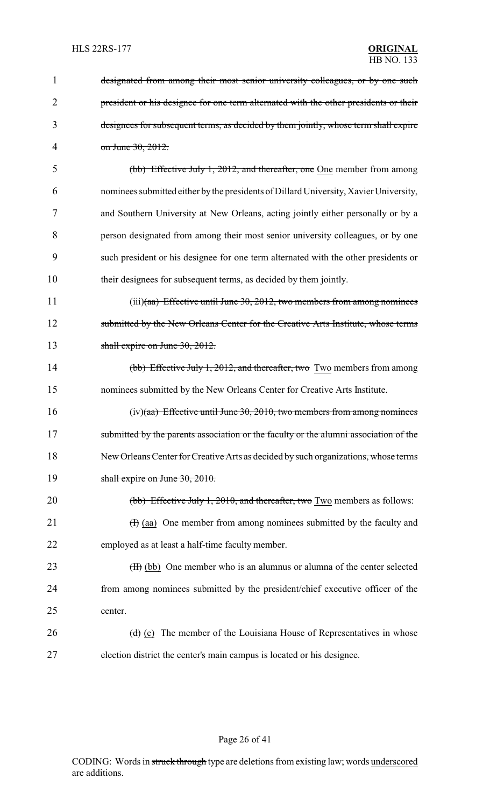| 1              | designated from among their most senior university colleagues, or by one such                |
|----------------|----------------------------------------------------------------------------------------------|
| $\overline{2}$ | president or his designee for one term alternated with the other presidents or their         |
| 3              | designees for subsequent terms, as decided by them jointly, whose term shall expire          |
| 4              | on June 30, 2012.                                                                            |
| 5              | (bb) Effective July 1, 2012, and thereafter, one One member from among                       |
| 6              | nominees submitted either by the presidents of Dillard University, Xavier University,        |
| 7              | and Southern University at New Orleans, acting jointly either personally or by a             |
| 8              | person designated from among their most senior university colleagues, or by one              |
| 9              | such president or his designee for one term alternated with the other presidents or          |
| 10             | their designees for subsequent terms, as decided by them jointly.                            |
| 11             | $(iii)(aa)$ Effective until June 30, 2012, two members from among nominees                   |
| 12             | submitted by the New Orleans Center for the Creative Arts Institute, whose terms             |
| 13             | shall expire on June $30, 2012$ .                                                            |
| 14             | (bb) Effective July 1, 2012, and thereafter, two Two members from among                      |
| 15             | nominees submitted by the New Orleans Center for Creative Arts Institute.                    |
| 16             | $(iv)(aa)$ Effective until June 30, 2010, two members from among nominees                    |
| 17             | submitted by the parents association or the faculty or the alumni association of the         |
| 18             | New Orleans Center for Creative Arts as decided by such organizations, whose terms           |
| 19             | shall expire on June $30, 2010$ .                                                            |
| 20             | (bb) Effective July 1, 2010, and thereafter, two Two members as follows:                     |
| 21             | $(H)$ (aa) One member from among nominees submitted by the faculty and                       |
| 22             | employed as at least a half-time faculty member.                                             |
| 23             | (H) (bb) One member who is an alumnus or alumna of the center selected                       |
| 24             | from among nominees submitted by the president/chief executive officer of the                |
| 25             | center.                                                                                      |
| 26             | $\left(\frac{d}{d}\right)$ (e) The member of the Louisiana House of Representatives in whose |
| 27             | election district the center's main campus is located or his designee.                       |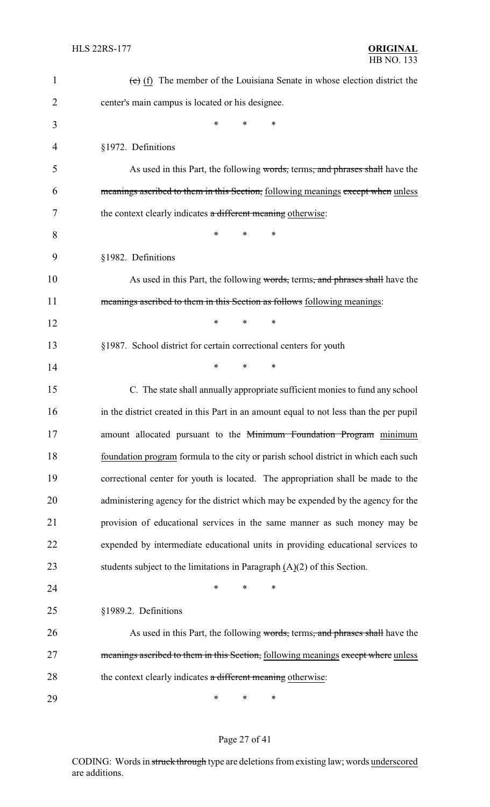| $\mathbf{1}$   | $(e)$ (f) The member of the Louisiana Senate in whose election district the            |
|----------------|----------------------------------------------------------------------------------------|
| $\overline{2}$ | center's main campus is located or his designee.                                       |
| 3              | *<br>*<br>*                                                                            |
| 4              | §1972. Definitions                                                                     |
| 5              | As used in this Part, the following words, terms, and phrases shall have the           |
| 6              | meanings ascribed to them in this Section, following meanings except when unless       |
| 7              | the context clearly indicates a different meaning otherwise:                           |
| 8              | *<br>$\ast$<br>*                                                                       |
| 9              | §1982. Definitions                                                                     |
| 10             | As used in this Part, the following words, terms, and phrases shall have the           |
| 11             | meanings ascribed to them in this Section as follows following meanings:               |
| 12             | *<br>*<br>*                                                                            |
| 13             | §1987. School district for certain correctional centers for youth                      |
| 14             | *<br>$\ast$<br>∗                                                                       |
| 15             | C. The state shall annually appropriate sufficient monies to fund any school           |
| 16             | in the district created in this Part in an amount equal to not less than the per pupil |
| 17             | amount allocated pursuant to the Minimum Foundation Program minimum                    |
| 18             | foundation program formula to the city or parish school district in which each such    |
| 19             | correctional center for youth is located. The appropriation shall be made to the       |
| 20             | administering agency for the district which may be expended by the agency for the      |
| 21             | provision of educational services in the same manner as such money may be              |
| 22             | expended by intermediate educational units in providing educational services to        |
| 23             | students subject to the limitations in Paragraph $(A)(2)$ of this Section.             |
| 24             | *<br>$\ast$<br>∗                                                                       |
| 25             | §1989.2. Definitions                                                                   |
| 26             | As used in this Part, the following words, terms, and phrases shall have the           |
| 27             | meanings ascribed to them in this Section, following meanings except where unless      |
| 28             | the context clearly indicates a different meaning otherwise:                           |
| 29             | $\ast$<br>∗<br>∗                                                                       |

# Page 27 of 41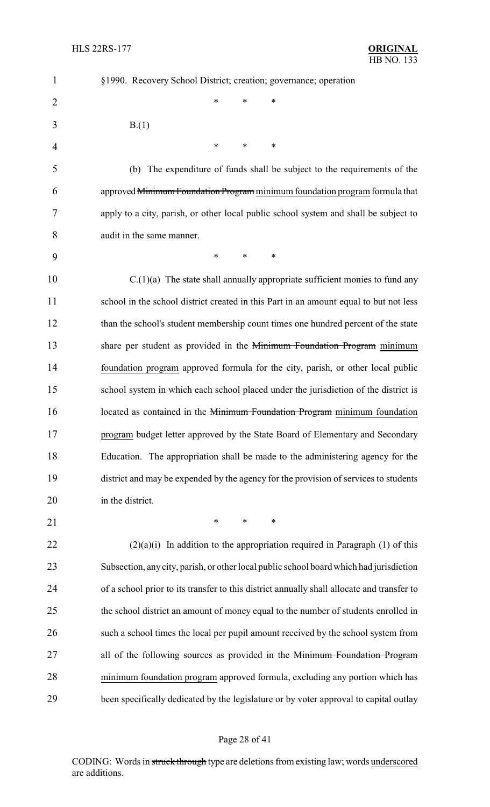| $\mathbf{1}$   | §1990. Recovery School District; creation; governance; operation                           |
|----------------|--------------------------------------------------------------------------------------------|
| $\overline{2}$ | *<br>*<br>∗                                                                                |
| 3              | B(1)                                                                                       |
| $\overline{4}$ | ∗<br>*<br>∗                                                                                |
| 5              | The expenditure of funds shall be subject to the requirements of the<br>(b)                |
| 6              | approved Minimum Foundation Program minimum foundation program formula that                |
| 7              | apply to a city, parish, or other local public school system and shall be subject to       |
| 8              | audit in the same manner.                                                                  |
| 9              | $\ast$<br>*<br>∗                                                                           |
| 10             | $C(1)(a)$ The state shall annually appropriate sufficient monies to fund any               |
| 11             | school in the school district created in this Part in an amount equal to but not less      |
| 12             | than the school's student membership count times one hundred percent of the state          |
| 13             | share per student as provided in the Minimum Foundation Program minimum                    |
| 14             | foundation program approved formula for the city, parish, or other local public            |
| 15             | school system in which each school placed under the jurisdiction of the district is        |
| 16             | located as contained in the Minimum Foundation Program minimum foundation                  |
| 17             | program budget letter approved by the State Board of Elementary and Secondary              |
| 18             | Education. The appropriation shall be made to the administering agency for the             |
| 19             | district and may be expended by the agency for the provision of services to students       |
| 20             | in the district.                                                                           |
| 21             | $\ast$<br>$\ast$<br>$\ast$                                                                 |
| 22             | $(2)(a)(i)$ In addition to the appropriation required in Paragraph (1) of this             |
| 23             | Subsection, any city, parish, or other local public school board which had jurisdiction    |
| 24             | of a school prior to its transfer to this district annually shall allocate and transfer to |
| 25             | the school district an amount of money equal to the number of students enrolled in         |
| 26             | such a school times the local per pupil amount received by the school system from          |
| 27             | all of the following sources as provided in the Minimum Foundation Program                 |
| 28             | minimum foundation program approved formula, excluding any portion which has               |
| 29             | been specifically dedicated by the legislature or by voter approval to capital outlay      |

# Page 28 of 41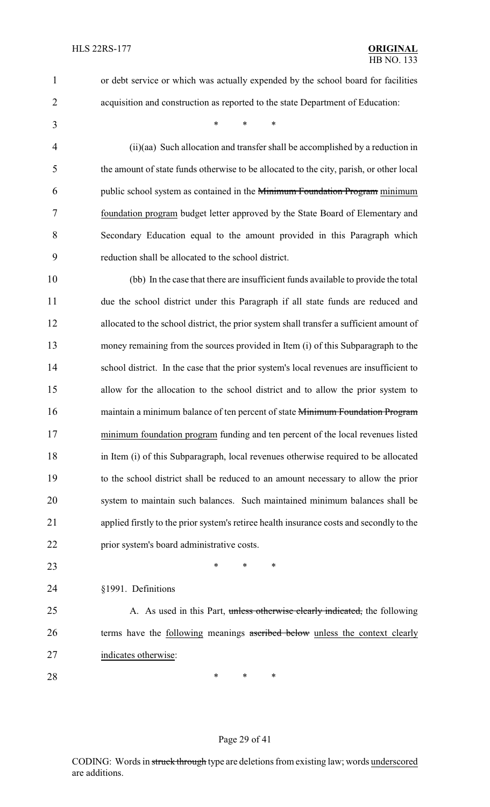- or debt service or which was actually expended by the school board for facilities
- acquisition and construction as reported to the state Department of Education:

\* \* \*

 (ii)(aa) Such allocation and transfer shall be accomplished by a reduction in the amount of state funds otherwise to be allocated to the city, parish, or other local public school system as contained in the Minimum Foundation Program minimum foundation program budget letter approved by the State Board of Elementary and Secondary Education equal to the amount provided in this Paragraph which reduction shall be allocated to the school district.

 (bb) In the case that there are insufficient funds available to provide the total due the school district under this Paragraph if all state funds are reduced and allocated to the school district, the prior system shall transfer a sufficient amount of money remaining from the sources provided in Item (i) of this Subparagraph to the 14 school district. In the case that the prior system's local revenues are insufficient to allow for the allocation to the school district and to allow the prior system to 16 maintain a minimum balance of ten percent of state Minimum Foundation Program minimum foundation program funding and ten percent of the local revenues listed in Item (i) of this Subparagraph, local revenues otherwise required to be allocated to the school district shall be reduced to an amount necessary to allow the prior system to maintain such balances. Such maintained minimum balances shall be applied firstly to the prior system's retiree health insurance costs and secondly to the prior system's board administrative costs.

- **\*** \* \* \*
- §1991. Definitions
- 25 A. As used in this Part, unless otherwise clearly indicated, the following 26 terms have the following meanings ascribed below unless the context clearly indicates otherwise:
- **\*** \* \* \*

#### Page 29 of 41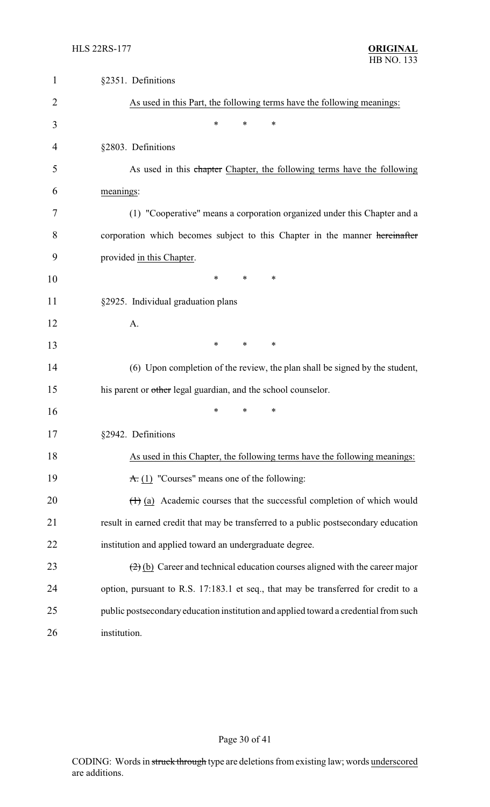| $\mathbf{1}$   | §2351. Definitions                                                                                  |
|----------------|-----------------------------------------------------------------------------------------------------|
| $\overline{2}$ | As used in this Part, the following terms have the following meanings:                              |
| 3              | *<br>*<br>∗                                                                                         |
| $\overline{4}$ | §2803. Definitions                                                                                  |
| 5              | As used in this chapter Chapter, the following terms have the following                             |
| 6              | meanings:                                                                                           |
| 7              | (1) "Cooperative" means a corporation organized under this Chapter and a                            |
| 8              | corporation which becomes subject to this Chapter in the manner hereinafter                         |
| 9              | provided in this Chapter.                                                                           |
| 10             | ∗<br>∗<br>∗                                                                                         |
| 11             | §2925. Individual graduation plans                                                                  |
| 12             | A.                                                                                                  |
| 13             | $\ast$<br>*<br>∗                                                                                    |
| 14             | (6) Upon completion of the review, the plan shall be signed by the student,                         |
| 15             | his parent or other legal guardian, and the school counselor.                                       |
| 16             | *<br>*<br>*                                                                                         |
| 17             | §2942. Definitions                                                                                  |
| 18             | As used in this Chapter, the following terms have the following meanings:                           |
| 19             | $\overline{A}$ . (1) "Courses" means one of the following:                                          |
| 20             | $(1)$ (a) Academic courses that the successful completion of which would                            |
| 21             | result in earned credit that may be transferred to a public postsecondary education                 |
| 22             | institution and applied toward an undergraduate degree.                                             |
| 23             | $\left(\frac{2}{2}\right)$ (b) Career and technical education courses aligned with the career major |
| 24             | option, pursuant to R.S. 17:183.1 et seq., that may be transferred for credit to a                  |
| 25             | public postsecondary education institution and applied toward a credential from such                |
| 26             | institution.                                                                                        |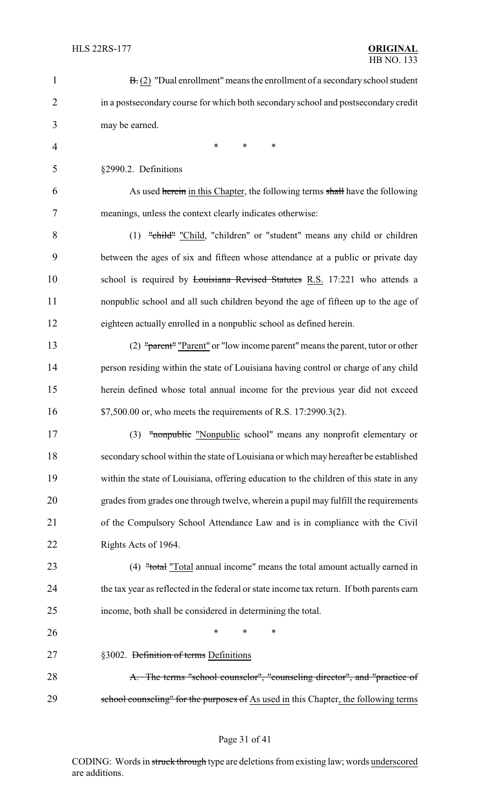| $\mathbf{1}$   | $\mathbf{B}$ . (2) "Dual enrollment" means the enrollment of a secondary school student   |
|----------------|-------------------------------------------------------------------------------------------|
| $\overline{2}$ | in a postsecondary course for which both secondary school and postsecondary credit        |
| 3              | may be earned.                                                                            |
| 4              | $\ast$<br>$\ast$<br>$\ast$                                                                |
| 5              | §2990.2. Definitions                                                                      |
| 6              | As used herein in this Chapter, the following terms shall have the following              |
| 7              | meanings, unless the context clearly indicates otherwise:                                 |
| 8              | (1) "child" "Child, "children" or "student" means any child or children                   |
| 9              | between the ages of six and fifteen whose attendance at a public or private day           |
| 10             | school is required by Louisiana Revised Statutes R.S. 17:221 who attends a                |
| 11             | nonpublic school and all such children beyond the age of fifteen up to the age of         |
| 12             | eighteen actually enrolled in a nonpublic school as defined herein.                       |
| 13             | (2) "parent" "Parent" or "low income parent" means the parent, tutor or other             |
| 14             | person residing within the state of Louisiana having control or charge of any child       |
| 15             | herein defined whose total annual income for the previous year did not exceed             |
| 16             | \$7,500.00 or, who meets the requirements of R.S. 17:2990.3(2).                           |
| 17             | (3) "nonpublic "Nonpublic school" means any nonprofit elementary or                       |
| 18             | secondary school within the state of Louisiana or which may hereafter be established      |
| 19             | within the state of Louisiana, offering education to the children of this state in any    |
| 20             | grades from grades one through twelve, wherein a pupil may fulfill the requirements       |
| 21             | of the Compulsory School Attendance Law and is in compliance with the Civil               |
| 22             | Rights Acts of 1964.                                                                      |
| 23             | (4) "total "Total annual income" means the total amount actually earned in                |
| 24             | the tax year as reflected in the federal or state income tax return. If both parents earn |
| 25             | income, both shall be considered in determining the total.                                |
| 26             | $\ast$<br>∗<br>∗                                                                          |
| 27             | §3002. Definition of terms Definitions                                                    |
| 28             | A. The terms "school counselor", "counseling director", and "practice of                  |
| 29             | school counseling" for the purposes of As used in this Chapter, the following terms       |

# Page 31 of 41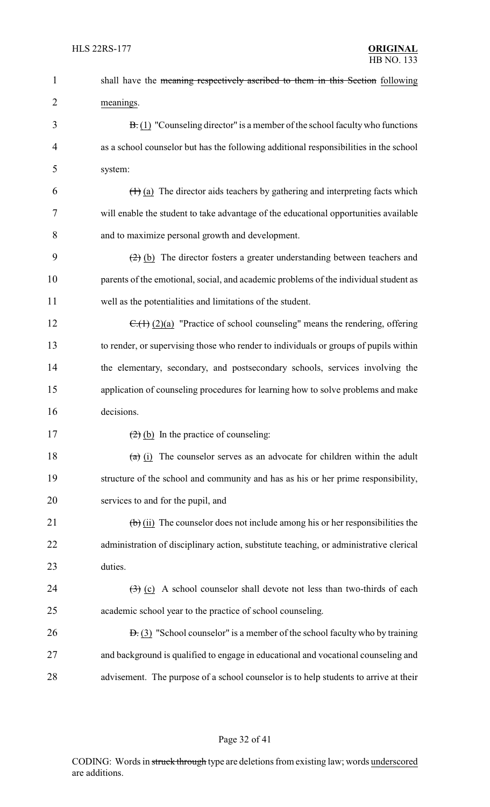| $\mathbf{1}$   | shall have the meaning respectively ascribed to them in this Section following                       |
|----------------|------------------------------------------------------------------------------------------------------|
| $\overline{2}$ | meanings.                                                                                            |
| 3              | $\mathbf{B}$ . (1) "Counseling director" is a member of the school faculty who functions             |
| 4              | as a school counselor but has the following additional responsibilities in the school                |
| 5              | system:                                                                                              |
| 6              | $(1)$ (a) The director aids teachers by gathering and interpreting facts which                       |
| 7              | will enable the student to take advantage of the educational opportunities available                 |
| 8              | and to maximize personal growth and development.                                                     |
| 9              | $(2)$ (b) The director fosters a greater understanding between teachers and                          |
| 10             | parents of the emotional, social, and academic problems of the individual student as                 |
| 11             | well as the potentialities and limitations of the student.                                           |
| 12             | $C_{(1)}(2)(a)$ "Practice of school counseling" means the rendering, offering                        |
| 13             | to render, or supervising those who render to individuals or groups of pupils within                 |
| 14             | the elementary, secondary, and postsecondary schools, services involving the                         |
| 15             | application of counseling procedures for learning how to solve problems and make                     |
| 16             | decisions.                                                                                           |
| 17             | $\left(\frac{2}{2}\right)$ (b) In the practice of counseling:                                        |
| 18             | $(a)$ (i) The counselor serves as an advocate for children within the adult                          |
| 19             | structure of the school and community and has as his or her prime responsibility,                    |
| 20             | services to and for the pupil, and                                                                   |
| 21             | $\left(\frac{1}{2}\right)$ (ii) The counselor does not include among his or her responsibilities the |
| 22             | administration of disciplinary action, substitute teaching, or administrative clerical               |
| 23             | duties.                                                                                              |
| 24             | $\left(\frac{1}{2}\right)$ (c) A school counselor shall devote not less than two-thirds of each      |
| 25             | academic school year to the practice of school counseling.                                           |
| 26             | $\overline{B}$ . (3) "School counselor" is a member of the school faculty who by training            |
| 27             | and background is qualified to engage in educational and vocational counseling and                   |
| 28             | advisement. The purpose of a school counselor is to help students to arrive at their                 |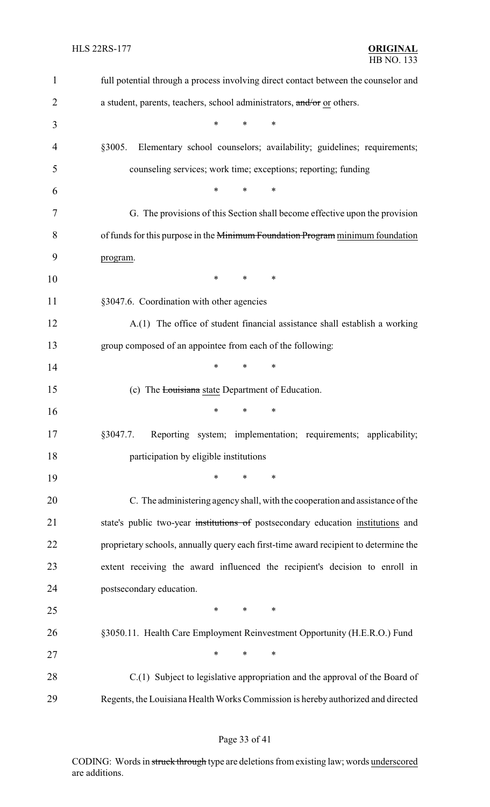| $\mathbf{1}$   | full potential through a process involving direct contact between the counselor and  |
|----------------|--------------------------------------------------------------------------------------|
| $\overline{2}$ | a student, parents, teachers, school administrators, and/or or others.               |
| 3              | $\ast$<br>$\ast$<br>$\ast$                                                           |
| 4              | §3005.<br>Elementary school counselors; availability; guidelines; requirements;      |
| 5              | counseling services; work time; exceptions; reporting; funding                       |
| 6              | *<br>$\ast$<br>$\ast$                                                                |
| 7              | G. The provisions of this Section shall become effective upon the provision          |
| 8              | of funds for this purpose in the Minimum Foundation Program minimum foundation       |
| 9              | program.                                                                             |
| 10             | $\ast$<br>$\ast$<br>∗                                                                |
| 11             | §3047.6. Coordination with other agencies                                            |
| 12             | A.(1) The office of student financial assistance shall establish a working           |
| 13             | group composed of an appointee from each of the following:                           |
| 14             | $\ast$<br>*<br>$\ast$                                                                |
| 15             | (c) The <b>Louisiana</b> state Department of Education.                              |
| 16             | $\ast$<br>*<br>*                                                                     |
| 17             | Reporting system; implementation; requirements; applicability;<br>§3047.7.           |
| 18             | participation by eligible institutions                                               |
| 19             | $\ast$<br>∗<br>*                                                                     |
| 20             | C. The administering agency shall, with the cooperation and assistance of the        |
| 21             | state's public two-year institutions of postsecondary education institutions and     |
| 22             | proprietary schools, annually query each first-time award recipient to determine the |
| 23             | extent receiving the award influenced the recipient's decision to enroll in          |
| 24             | postsecondary education.                                                             |
| 25             | $\ast$<br>$\ast$<br>∗                                                                |
| 26             | §3050.11. Health Care Employment Reinvestment Opportunity (H.E.R.O.) Fund            |
| 27             | $\ast$<br>$\ast$<br>∗                                                                |
| 28             | C.(1) Subject to legislative appropriation and the approval of the Board of          |
| 29             | Regents, the Louisiana Health Works Commission is hereby authorized and directed     |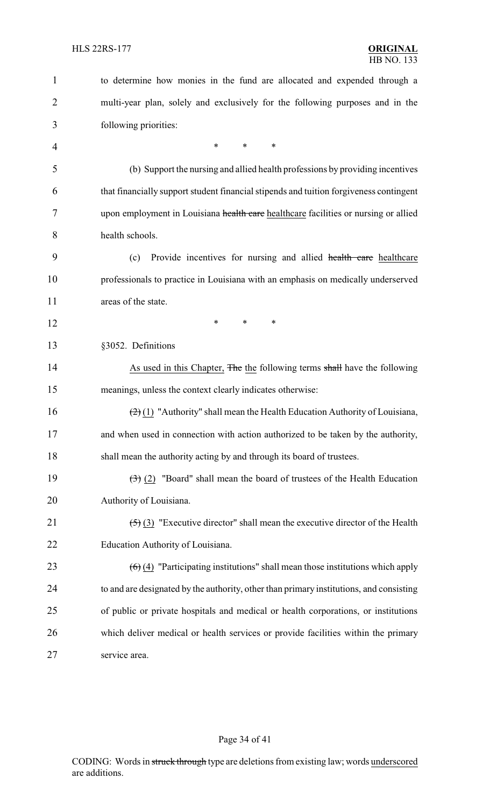| $\mathbf{1}$   | to determine how monies in the fund are allocated and expended through a                            |
|----------------|-----------------------------------------------------------------------------------------------------|
| $\overline{2}$ | multi-year plan, solely and exclusively for the following purposes and in the                       |
| 3              | following priorities:                                                                               |
| $\overline{4}$ | *<br>*<br>$\ast$                                                                                    |
| 5              | (b) Support the nursing and allied health professions by providing incentives                       |
| 6              | that financially support student financial stipends and tuition forgiveness contingent              |
| 7              | upon employment in Louisiana health care healthcare facilities or nursing or allied                 |
| 8              | health schools.                                                                                     |
| 9              | Provide incentives for nursing and allied health care healthcare<br>(c)                             |
| 10             | professionals to practice in Louisiana with an emphasis on medically underserved                    |
| 11             | areas of the state.                                                                                 |
| 12             | $\ast$<br>$\ast$<br>$\ast$                                                                          |
| 13             | §3052. Definitions                                                                                  |
| 14             | As used in this Chapter, The the following terms shall have the following                           |
| 15             | meanings, unless the context clearly indicates otherwise:                                           |
| 16             | $\left(\frac{2}{2}\right)(1)$ "Authority" shall mean the Health Education Authority of Louisiana,   |
| 17             | and when used in connection with action authorized to be taken by the authority,                    |
| 18             | shall mean the authority acting by and through its board of trustees.                               |
| 19             | $\left(\frac{1}{2}\right)$ (2) "Board" shall mean the board of trustees of the Health Education     |
| 20             | Authority of Louisiana.                                                                             |
| 21             | $\left(\frac{1}{2}\right)$ (3) "Executive director" shall mean the executive director of the Health |
| 22             | Education Authority of Louisiana.                                                                   |
| 23             | $\left(\frac{6}{2}\right)$ "Participating institutions" shall mean those institutions which apply   |
| 24             | to and are designated by the authority, other than primary institutions, and consisting             |
| 25             | of public or private hospitals and medical or health corporations, or institutions                  |
| 26             | which deliver medical or health services or provide facilities within the primary                   |
| 27             | service area.                                                                                       |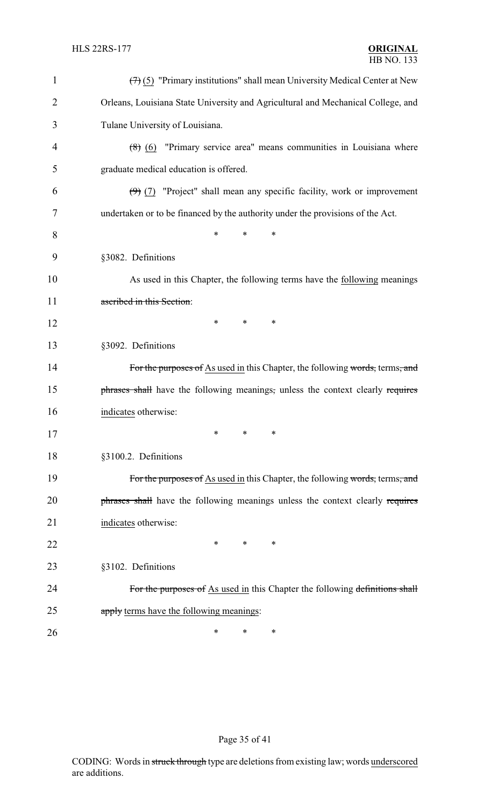| $\mathbf{1}$ | $(7)$ (5) "Primary institutions" shall mean University Medical Center at New     |
|--------------|----------------------------------------------------------------------------------|
| 2            | Orleans, Louisiana State University and Agricultural and Mechanical College, and |
| 3            | Tulane University of Louisiana.                                                  |
| 4            | $(8)$ $(6)$ "Primary service area" means communities in Louisiana where          |
| 5            | graduate medical education is offered.                                           |
| 6            | $(9)$ (7) "Project" shall mean any specific facility, work or improvement        |
| 7            | undertaken or to be financed by the authority under the provisions of the Act.   |
| 8            | *<br>*<br>∗                                                                      |
| 9            | §3082. Definitions                                                               |
| 10           | As used in this Chapter, the following terms have the following meanings         |
| 11           | ascribed in this Section:                                                        |
| 12           | *<br>∗<br>∗                                                                      |
| 13           | §3092. Definitions                                                               |
| 14           | For the purposes of As used in this Chapter, the following words, terms, and     |
| 15           | phrases shall have the following meanings, unless the context clearly requires   |
| 16           | indicates otherwise:                                                             |
| 17           | $*$ and $*$<br>$\ast$<br>∗                                                       |
| 18           | §3100.2. Definitions                                                             |
| 19           | For the purposes of As used in this Chapter, the following words, terms, and     |
| 20           | phrases shall have the following meanings unless the context clearly requires    |
| 21           | indicates otherwise:                                                             |
| 22           | ∗<br>∗<br>∗                                                                      |
| 23           | §3102. Definitions                                                               |
| 24           | For the purposes of As used in this Chapter the following definitions shall      |
| 25           | apply terms have the following meanings:                                         |
| 26           | ∗<br>∗<br>∗                                                                      |

# Page 35 of 41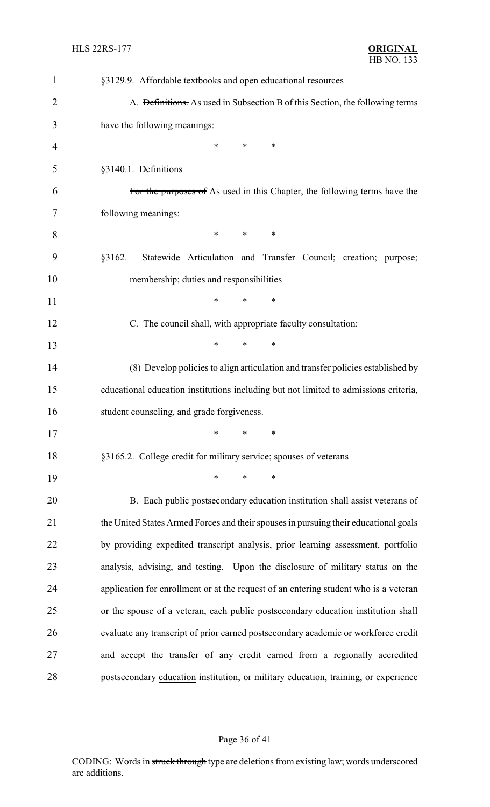| $\mathbf{1}$   | §3129.9. Affordable textbooks and open educational resources                            |
|----------------|-----------------------------------------------------------------------------------------|
| $\overline{2}$ | A. <del>Definitions.</del> As used in Subsection B of this Section, the following terms |
| 3              | have the following meanings:                                                            |
| 4              | *<br>*<br>∗                                                                             |
| 5              | §3140.1. Definitions                                                                    |
| 6              | For the purposes of As used in this Chapter, the following terms have the               |
| 7              | following meanings:                                                                     |
| 8              | $\ast$<br>∗<br>∗                                                                        |
| 9              | Statewide Articulation and Transfer Council; creation; purpose;<br>§3162.               |
| 10             | membership; duties and responsibilities                                                 |
| 11             | $\ast$<br>*<br>*                                                                        |
| 12             | C. The council shall, with appropriate faculty consultation:                            |
| 13             | $\ast$<br>$\ast$<br>$\ast$                                                              |
| 14             | (8) Develop policies to align articulation and transfer policies established by         |
| 15             | educational education institutions including but not limited to admissions criteria,    |
| 16             | student counseling, and grade forgiveness.                                              |
| 17             | ∗<br>∗<br>∗                                                                             |
| 18             | §3165.2. College credit for military service; spouses of veterans                       |
| 19             | $\ast$<br>$\ast$<br>$\ast$                                                              |
| 20             | B. Each public postsecondary education institution shall assist veterans of             |
| 21             | the United States Armed Forces and their spouses in pursuing their educational goals    |
| 22             | by providing expedited transcript analysis, prior learning assessment, portfolio        |
| 23             | analysis, advising, and testing. Upon the disclosure of military status on the          |
| 24             | application for enrollment or at the request of an entering student who is a veteran    |
| 25             | or the spouse of a veteran, each public postsecondary education institution shall       |
| 26             | evaluate any transcript of prior earned postsecondary academic or workforce credit      |
| 27             | and accept the transfer of any credit earned from a regionally accredited               |
| 28             | postsecondary education institution, or military education, training, or experience     |

# Page 36 of 41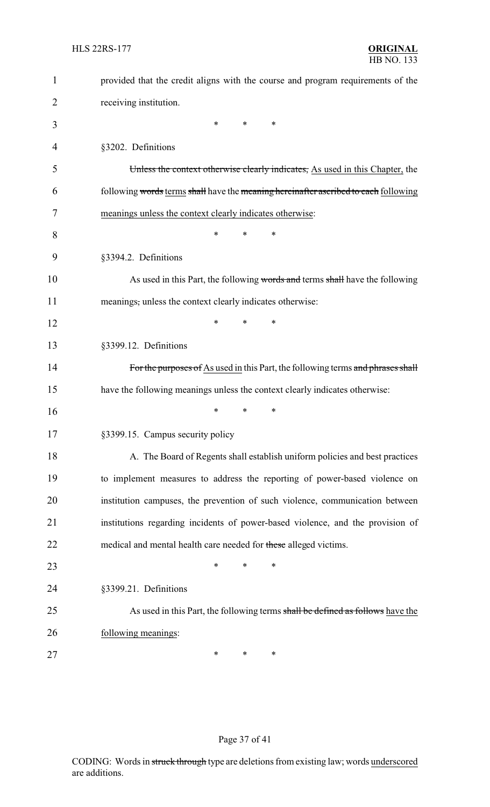| $\mathbf{1}$ | provided that the credit aligns with the course and program requirements of the     |
|--------------|-------------------------------------------------------------------------------------|
| 2            | receiving institution.                                                              |
| 3            | ∗<br>*<br>*                                                                         |
| 4            | §3202. Definitions                                                                  |
| 5            | Unless the context otherwise clearly indicates, As used in this Chapter, the        |
| 6            | following words terms shall have the meaning hereinafter ascribed to each following |
| 7            | meanings unless the context clearly indicates otherwise:                            |
| 8            | *<br>*<br>*                                                                         |
| 9            | §3394.2. Definitions                                                                |
| 10           | As used in this Part, the following words and terms shall have the following        |
| 11           | meanings, unless the context clearly indicates otherwise:                           |
| 12           | *<br>*<br>∗                                                                         |
| 13           | §3399.12. Definitions                                                               |
| 14           | For the purposes of As used in this Part, the following terms and phrases shall     |
| 15           | have the following meanings unless the context clearly indicates otherwise:         |
| 16           | *<br>∗<br>*                                                                         |
| 17           | §3399.15. Campus security policy                                                    |
| 18           | A. The Board of Regents shall establish uniform policies and best practices         |
| 19           | to implement measures to address the reporting of power-based violence on           |
| 20           | institution campuses, the prevention of such violence, communication between        |
| 21           | institutions regarding incidents of power-based violence, and the provision of      |
| 22           | medical and mental health care needed for these alleged victims.                    |
| 23           | *<br>*<br>∗                                                                         |
| 24           | §3399.21. Definitions                                                               |
| 25           | As used in this Part, the following terms shall be defined as follows have the      |
| 26           | following meanings:                                                                 |
| 27           | ∗<br>*<br>∗                                                                         |

# Page 37 of 41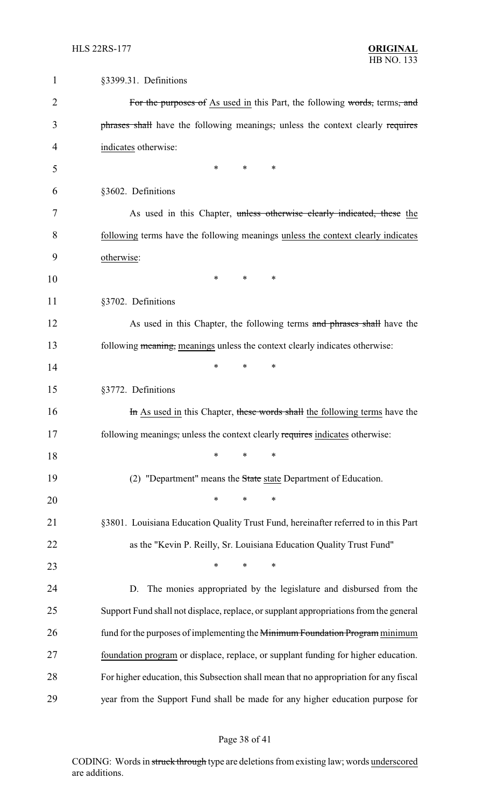| 1              | §3399.31. Definitions                                                                 |
|----------------|---------------------------------------------------------------------------------------|
| $\overline{2}$ | For the purposes of As used in this Part, the following words, terms, and             |
| 3              | phrases shall have the following meanings, unless the context clearly requires        |
| 4              | indicates otherwise:                                                                  |
| 5              | *<br>$\ast$<br>∗                                                                      |
| 6              | §3602. Definitions                                                                    |
| 7              | As used in this Chapter, unless otherwise clearly indicated, these the                |
| 8              | following terms have the following meanings unless the context clearly indicates      |
| 9              | otherwise:                                                                            |
| 10             | *<br>∗<br>∗                                                                           |
| 11             | §3702. Definitions                                                                    |
| 12             | As used in this Chapter, the following terms and phrases shall have the               |
| 13             | following meaning, meanings unless the context clearly indicates otherwise:           |
| 14             | $\ast$<br>$\ast$<br>*                                                                 |
| 15             | §3772. Definitions                                                                    |
| 16             | In As used in this Chapter, these words shall the following terms have the            |
| 17             | following meanings, unless the context clearly requires indicates otherwise:          |
| 18             | $\ast$<br>$\ast$<br>$\ast$                                                            |
| 19             | (2) "Department" means the State state Department of Education.                       |
| 20             | $\ast$<br>∗<br>∗                                                                      |
| 21             | §3801. Louisiana Education Quality Trust Fund, hereinafter referred to in this Part   |
| 22             | as the "Kevin P. Reilly, Sr. Louisiana Education Quality Trust Fund"                  |
| 23             | $\ast$<br>$\ast$<br>$\ast$                                                            |
| 24             | The monies appropriated by the legislature and disbursed from the<br>D.               |
| 25             | Support Fund shall not displace, replace, or supplant appropriations from the general |
| 26             | fund for the purposes of implementing the Minimum Foundation Program minimum          |
| 27             | foundation program or displace, replace, or supplant funding for higher education.    |
| 28             | For higher education, this Subsection shall mean that no appropriation for any fiscal |
| 29             | year from the Support Fund shall be made for any higher education purpose for         |

# Page 38 of 41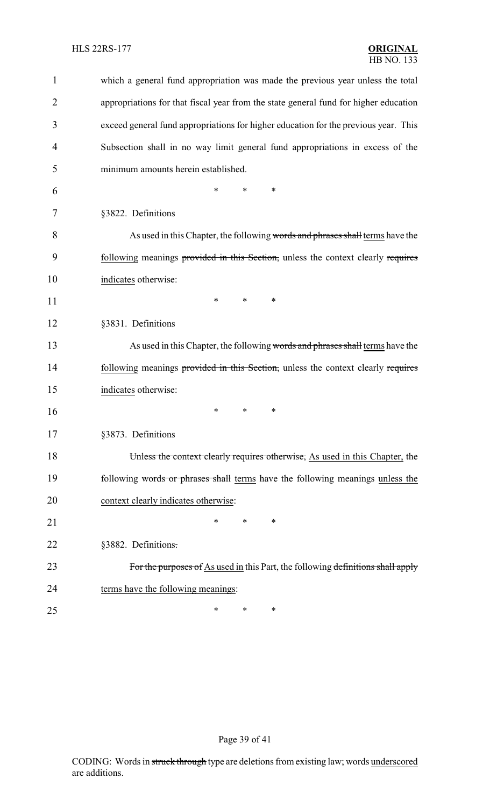| $\mathbf{1}$   | which a general fund appropriation was made the previous year unless the total       |
|----------------|--------------------------------------------------------------------------------------|
| $\overline{2}$ | appropriations for that fiscal year from the state general fund for higher education |
| 3              | exceed general fund appropriations for higher education for the previous year. This  |
| 4              | Subsection shall in no way limit general fund appropriations in excess of the        |
| 5              | minimum amounts herein established.                                                  |
| 6              | $\ast$<br>*<br>*                                                                     |
| 7              | §3822. Definitions                                                                   |
| 8              | As used in this Chapter, the following words and phrases shall terms have the        |
| 9              | following meanings provided in this Section, unless the context clearly requires     |
| 10             | indicates otherwise:                                                                 |
| 11             | $\ast$<br>$\ast$<br>∗                                                                |
| 12             | §3831. Definitions                                                                   |
| 13             | As used in this Chapter, the following words and phrases shall terms have the        |
| 14             | following meanings provided in this Section, unless the context clearly requires     |
| 15             | indicates otherwise:                                                                 |
| 16             | ∗<br>∗<br>∗                                                                          |
| 17             | §3873. Definitions                                                                   |
| 18             | Unless the context clearly requires otherwise, As used in this Chapter, the          |
| 19             | following words or phrases shall terms have the following meanings unless the        |
| 20             | context clearly indicates otherwise:                                                 |
| 21             | *<br>*<br>∗                                                                          |
| 22             | §3882. Definitions.                                                                  |
| 23             | For the purposes of As used in this Part, the following definitions shall apply      |
| 24             | terms have the following meanings:                                                   |
| 25             | ∗<br>∗<br>∗                                                                          |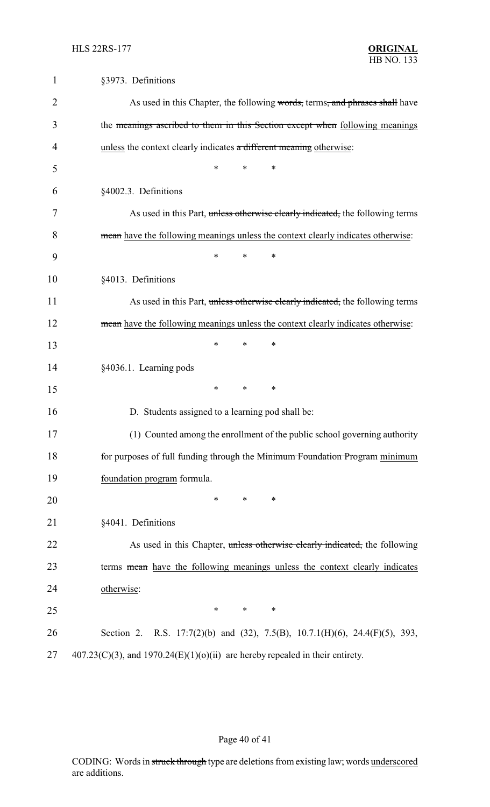| $\mathbf{1}$ | §3973. Definitions                                                                 |
|--------------|------------------------------------------------------------------------------------|
| 2            | As used in this Chapter, the following words, terms, and phrases shall have        |
| 3            | the meanings ascribed to them in this Section except when following meanings       |
| 4            | unless the context clearly indicates a different meaning otherwise:                |
| 5            | *                                                                                  |
| 6            | §4002.3. Definitions                                                               |
| 7            | As used in this Part, unless otherwise clearly indicated, the following terms      |
| 8            | mean have the following meanings unless the context clearly indicates otherwise:   |
| 9            | $\ast$<br>*<br>∗                                                                   |
| 10           | §4013. Definitions                                                                 |
| 11           | As used in this Part, unless otherwise clearly indicated, the following terms      |
| 12           | mean have the following meanings unless the context clearly indicates otherwise:   |
| 13           | $\ast$<br>*<br>∗                                                                   |
| 14           | §4036.1. Learning pods                                                             |
| 15           | *<br>∗<br>*                                                                        |
| 16           | D. Students assigned to a learning pod shall be:                                   |
| 17           | (1) Counted among the enrollment of the public school governing authority          |
| 18           | for purposes of full funding through the Minimum Foundation Program minimum        |
| 19           | foundation program formula.                                                        |
| 20           | $\ast$<br>∗<br>$\ast$                                                              |
| 21           | §4041. Definitions                                                                 |
| 22           | As used in this Chapter, unless otherwise clearly indicated, the following         |
| 23           | terms mean have the following meanings unless the context clearly indicates        |
| 24           | otherwise:                                                                         |
| 25           | $\ast$<br>*<br>*                                                                   |
| 26           | Section 2. R.S. 17:7(2)(b) and (32), 7.5(B), 10.7.1(H)(6), 24.4(F)(5), 393,        |
| 27           | $407.23(C)(3)$ , and $1970.24(E)(1)(0)(ii)$ are hereby repealed in their entirety. |

# Page 40 of 41